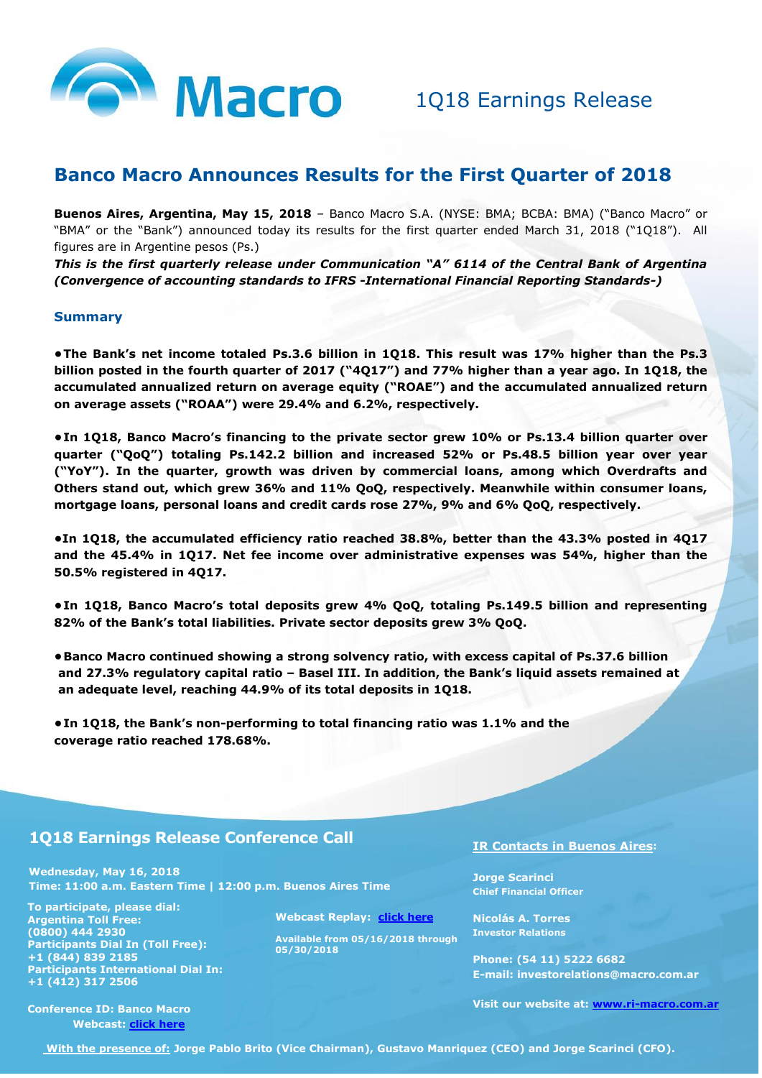

## **Banco Macro Announces Results for the First Quarter of 2018**

**Buenos Aires, Argentina, May 15, 2018** – Banco Macro S.A. (NYSE: BMA; BCBA: BMA) ("Banco Macro" or "BMA" or the "Bank") announced today its results for the first quarter ended March 31, 2018 ("1Q18"). All figures are in Argentine pesos (Ps.)

*This is the first quarterly release under Communication "A" 6114 of the Central Bank of Argentina (Convergence of accounting standards to IFRS -International Financial Reporting Standards-)* 

#### **Summary**

**•The Bank's net income totaled Ps.3.6 billion in 1Q18. This result was 17% higher than the Ps.3 billion posted in the fourth quarter of 2017 ("4Q17") and 77% higher than a year ago. In 1Q18, the accumulated annualized return on average equity ("ROAE") and the accumulated annualized return on average assets ("ROAA") were 29.4% and 6.2%, respectively.**

**•In 1Q18, Banco Macro's financing to the private sector grew 10% or Ps.13.4 billion quarter over quarter ("QoQ") totaling Ps.142.2 billion and increased 52% or Ps.48.5 billion year over year ("YoY"). In the quarter, growth was driven by commercial loans, among which Overdrafts and Others stand out, which grew 36% and 11% QoQ, respectively. Meanwhile within consumer loans, mortgage loans, personal loans and credit cards rose 27%, 9% and 6% QoQ, respectively.**

**•In 1Q18, the accumulated efficiency ratio reached 38.8%, better than the 43.3% posted in 4Q17 and the 45.4% in 1Q17. Net fee income over administrative expenses was 54%, higher than the 50.5% registered in 4Q17.**

- **•In 1Q18, Banco Macro's total deposits grew 4% QoQ, totaling Ps.149.5 billion and representing 82% of the Bank's total liabilities. Private sector deposits grew 3% QoQ.**
- **•Banco Macro continued showing a strong solvency ratio, with excess capital of Ps.37.6 billion and 27.3% regulatory capital ratio – Basel III. In addition, the Bank's liquid assets remained at an adequate level, reaching 44.9% of its total deposits in 1Q18.**

**•In 1Q18, the Bank's non-performing to total financing ratio was 1.1% and the coverage ratio reached 178.68%.**

#### **1Q18 Earnings Release Conference Call**

**Wednesday, May 16, 2018 Time: 11:00 a.m. Eastern Time | 12:00 p.m. Buenos Aires Time**

**The Structure III is a structure of the United Structure III is a structure of the United Structure III is a structure of the Structure III is a structure of the Structure III is a structure of the Structure III is a stru To participate, please dial: (0800) 444 2930 Participants Dial In (Toll Free): +1 (844) 839 2185 Participants International Dial In: +1 (412) 317 2506**

**Webcast Replay: [click here](http://webcastlite.mziq.com/cover.html?webcastId=f1dbe78f-c846-497b-aded-0bad4cb369a6)**

**Available from 05/16/2018 through 05/30/2018**

**IR Contacts in Buenos Aires:**

**Jorge Scarinci Chief Financial Officer**

**Nicolás A. Torres Investor Relations**

**Phone: (54 11) 5222 6682 E-mail: investorelations@macro.com.ar**

**Visit our website at: [www.ri-macro.com.ar](http://www.ri-macro.com.ar/bancomacro/web/default_en.asp?idioma=1&conta=44)**

**Conference ID: Banco Macro Webcast: [click here](http://webcastlite.mziq.com/cover.html?webcastId=f1dbe78f-c846-497b-aded-0bad4cb369a6)**

**With the presence of: Jorge Pablo Brito (Vice Chairman), Gustavo Manriquez (CEO) and Jorge Scarinci (CFO).**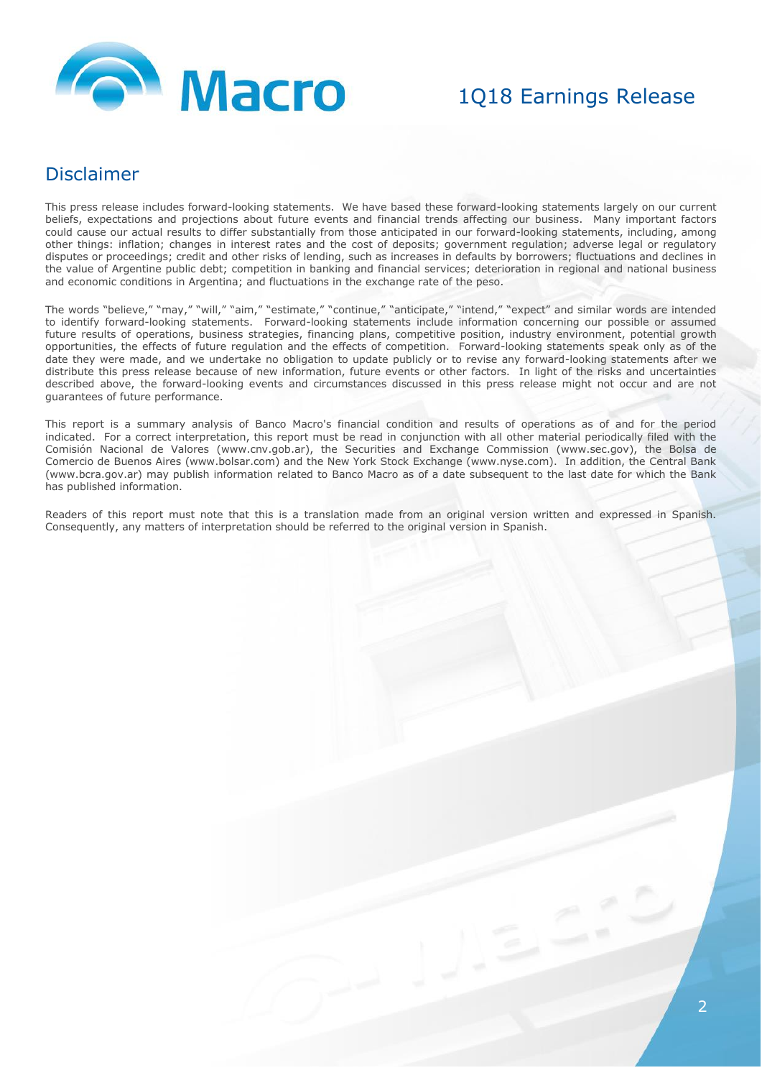

### Disclaimer

This press release includes forward-looking statements. We have based these forward-looking statements largely on our current beliefs, expectations and projections about future events and financial trends affecting our business. Many important factors could cause our actual results to differ substantially from those anticipated in our forward-looking statements, including, among other things: inflation; changes in interest rates and the cost of deposits; government regulation; adverse legal or regulatory disputes or proceedings; credit and other risks of lending, such as increases in defaults by borrowers; fluctuations and declines in the value of Argentine public debt; competition in banking and financial services; deterioration in regional and national business and economic conditions in Argentina; and fluctuations in the exchange rate of the peso.

The words "believe," "may," "will," "aim," "estimate," "continue," "anticipate," "intend," "expect" and similar words are intended to identify forward-looking statements. Forward-looking statements include information concerning our possible or assumed future results of operations, business strategies, financing plans, competitive position, industry environment, potential growth opportunities, the effects of future regulation and the effects of competition. Forward-looking statements speak only as of the date they were made, and we undertake no obligation to update publicly or to revise any forward-looking statements after we distribute this press release because of new information, future events or other factors. In light of the risks and uncertainties described above, the forward-looking events and circumstances discussed in this press release might not occur and are not guarantees of future performance.

This report is a summary analysis of Banco Macro's financial condition and results of operations as of and for the period indicated. For a correct interpretation, this report must be read in conjunction with all other material periodically filed with the Comisión Nacional de Valores (www.cnv.gob.ar), the Securities and Exchange Commission (www.sec.gov), the Bolsa de Comercio de Buenos Aires (www.bolsar.com) and the New York Stock Exchange (www.nyse.com). In addition, the Central Bank (www.bcra.gov.ar) may publish information related to Banco Macro as of a date subsequent to the last date for which the Bank has published information.

Readers of this report must note that this is a translation made from an original version written and expressed in Spanish. Consequently, any matters of interpretation should be referred to the original version in Spanish.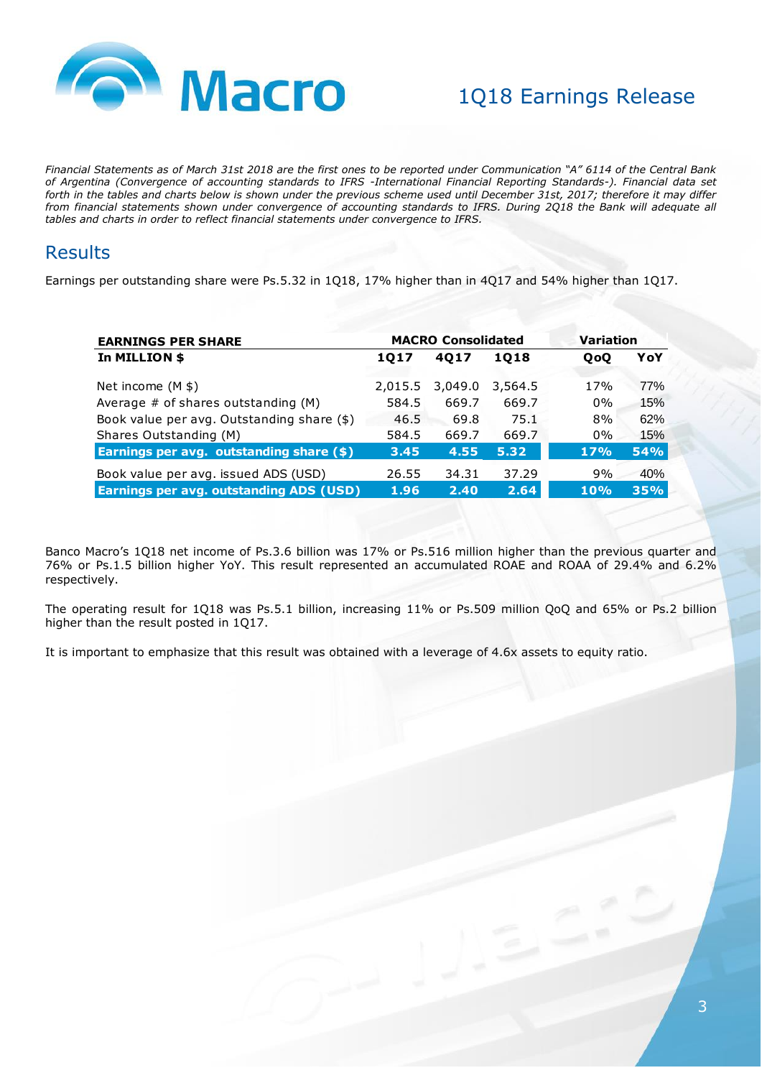

*Financial Statements as of March 31st 2018 are the first ones to be reported under Communication "A" 6114 of the Central Bank of Argentina (Convergence of accounting standards to IFRS -International Financial Reporting Standards-). Financial data set forth in the tables and charts below is shown under the previous scheme used until December 31st, 2017; therefore it may differ from financial statements shown under convergence of accounting standards to IFRS. During 2Q18 the Bank will adequate all tables and charts in order to reflect financial statements under convergence to IFRS.* 

## **Results**

Earnings per outstanding share were Ps.5.32 in 1Q18, 17% higher than in 4Q17 and 54% higher than 1Q17.

| <b>EARNINGS PER SHARE</b>                      |         | <b>MACRO Consolidated</b> | Variation |            |            |
|------------------------------------------------|---------|---------------------------|-----------|------------|------------|
| In MILLION \$                                  | 1017    | 4017                      | 1018      | <b>OoO</b> | YoY        |
| Net income $(M $)$                             | 2,015.5 | 3,049.0                   | 3,564.5   | 17%        | 77%        |
| Average $#$ of shares outstanding $(M)$        | 584.5   | 669.7                     | 669.7     | $0\%$      | 15%        |
| Book value per avg. Outstanding share (\$)     | 46.5    | 69.8                      | 75.1      | 8%         | 62%        |
| Shares Outstanding (M)                         | 584.5   | 669.7                     | 669.7     | $0\%$      | 15%        |
| Earnings per avg. outstanding share (\$)       | 3.45    | 4.55                      | 5.32      | 17%        | <b>54%</b> |
| Book value per avg. issued ADS (USD)           | 26.55   | 34.31                     | 37.29     | 9%         | 40%        |
| <b>Earnings per avg. outstanding ADS (USD)</b> | 1.96    | 2.40                      | 2.64      | 10%        | 35%        |

Banco Macro's 1Q18 net income of Ps.3.6 billion was 17% or Ps.516 million higher than the previous quarter and 76% or Ps.1.5 billion higher YoY. This result represented an accumulated ROAE and ROAA of 29.4% and 6.2% respectively.

The operating result for 1Q18 was Ps.5.1 billion, increasing 11% or Ps.509 million QoQ and 65% or Ps.2 billion higher than the result posted in 1Q17.

It is important to emphasize that this result was obtained with a leverage of 4.6x assets to equity ratio.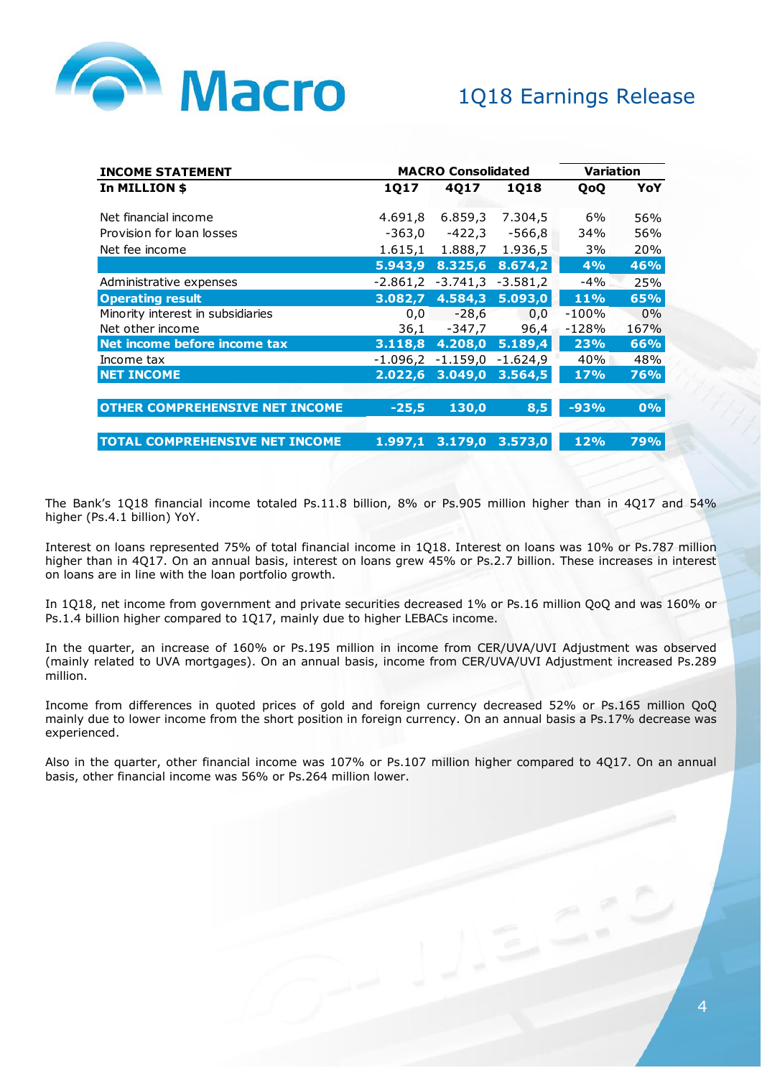

| <b>INCOME STATEMENT</b>               |            | <b>MACRO Consolidated</b> | Variation  |            |            |
|---------------------------------------|------------|---------------------------|------------|------------|------------|
| In MILLION \$                         | 1017       | 4017                      | 1018       | <b>OoO</b> | YoY        |
| Net financial income                  | 4.691,8    | 6.859,3                   | 7.304,5    | 6%         | 56%        |
| Provision for loan losses             | -363,0     | -422,3                    | -566,8     | 34%        | 56%        |
| Net fee income                        | 1.615,1    | 1.888,7                   | 1.936,5    | 3%         | 20%        |
|                                       | 5.943,9    | 8.325,6                   | 8.674,2    | 4%         | <b>46%</b> |
| Administrative expenses               | $-2.861,2$ | $-3.741,3$                | $-3.581,2$ | $-4\%$     | 25%        |
| <b>Operating result</b>               | 3.082,7    | 4.584,3                   | 5.093,0    | 11%        | 65%        |
| Minority interest in subsidiaries     | 0,0        | $-28,6$                   | 0,0        | -100%      | $0\%$      |
| Net other income                      | 36,1       | -347,7                    | 96,4       | $-128%$    | 167%       |
| Net income before income tax          | 3.118,8    | 4.208,0                   | 5.189,4    | 23%        | 66%        |
| Income tax                            |            | $-1.096, 2 -1.159, 0$     | $-1.624,9$ | 40%        | 48%        |
| <b>NET INCOME</b>                     | 2.022,6    | 3.049,0                   | 3.564, 5   | 17%        | <b>76%</b> |
| <b>OTHER COMPREHENSIVE NET INCOME</b> | $-25,5$    | 130,0                     | 8,5        | $-93%$     | 0%         |
|                                       |            |                           |            |            |            |
| <b>TOTAL COMPREHENSIVE NET INCOME</b> | 1.997,1    | 3.179,0                   | 3.573,0    | 12%        | 79%        |

The Bank's 1Q18 financial income totaled Ps.11.8 billion, 8% or Ps.905 million higher than in 4Q17 and 54% higher (Ps.4.1 billion) YoY.

Interest on loans represented 75% of total financial income in 1Q18. Interest on loans was 10% or Ps.787 million higher than in 4Q17. On an annual basis, interest on loans grew 45% or Ps.2.7 billion. These increases in interest on loans are in line with the loan portfolio growth.

In 1Q18, net income from government and private securities decreased 1% or Ps.16 million QoQ and was 160% or Ps.1.4 billion higher compared to 1Q17, mainly due to higher LEBACs income.

In the quarter, an increase of 160% or Ps.195 million in income from CER/UVA/UVI Adjustment was observed (mainly related to UVA mortgages). On an annual basis, income from CER/UVA/UVI Adjustment increased Ps.289 million.

Income from differences in quoted prices of gold and foreign currency decreased 52% or Ps.165 million QoQ mainly due to lower income from the short position in foreign currency. On an annual basis a Ps.17% decrease was experienced.

Also in the quarter, other financial income was 107% or Ps.107 million higher compared to 4Q17. On an annual basis, other financial income was 56% or Ps.264 million lower.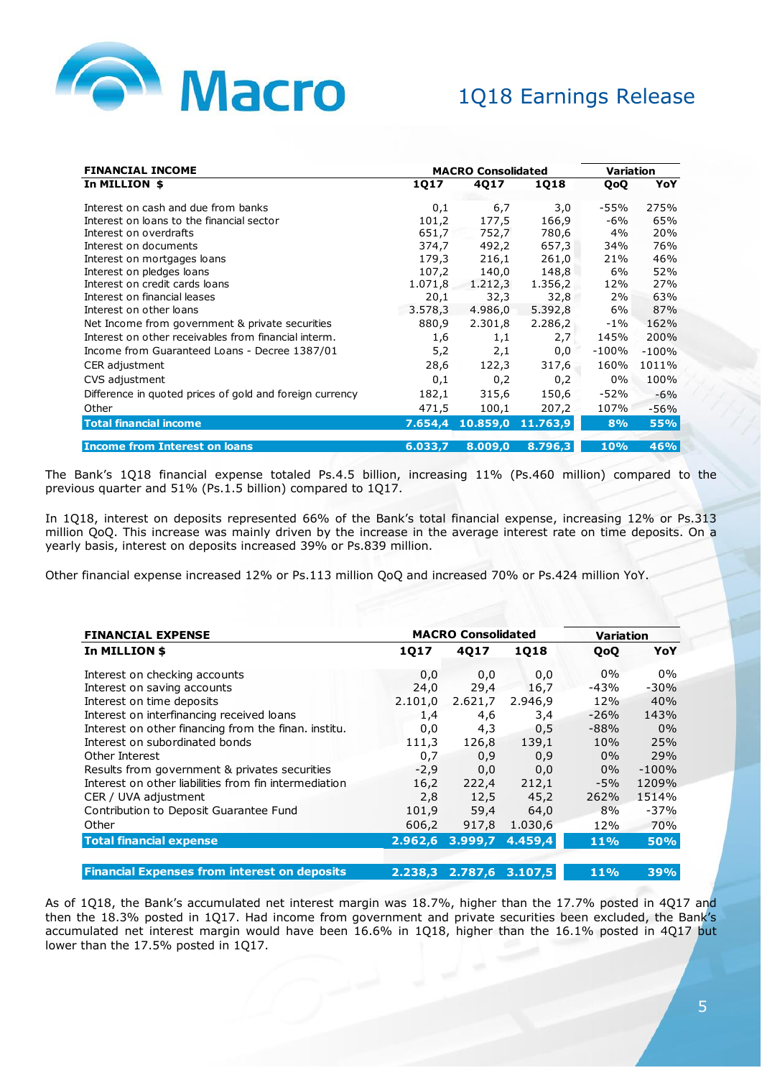

| <b>FINANCIAL INCOME</b>                                  | <b>MACRO Consolidated</b> | Variation |             |         |         |
|----------------------------------------------------------|---------------------------|-----------|-------------|---------|---------|
| In MILLION \$                                            | <b>1Q17</b>               | 4Q17      | <b>1Q18</b> | QoQ     | YoY     |
| Interest on cash and due from banks                      | 0,1                       | 6,7       | 3,0         | -55%    | 275%    |
| Interest on loans to the financial sector                | 101,2                     | 177,5     | 166,9       | $-6%$   | 65%     |
| Interest on overdrafts                                   | 651,7                     | 752,7     | 780,6       | 4%      | 20%     |
| Interest on documents                                    | 374,7                     | 492,2     | 657,3       | 34%     | 76%     |
| Interest on mortgages loans                              | 179,3                     | 216,1     | 261,0       | 21%     | 46%     |
| Interest on pledges loans                                | 107,2                     | 140,0     | 148,8       | 6%      | 52%     |
| Interest on credit cards loans                           | 1.071,8                   | 1.212,3   | 1.356,2     | 12%     | 27%     |
| Interest on financial leases                             | 20,1                      | 32,3      | 32,8        | 2%      | 63%     |
| Interest on other loans                                  | 3.578,3                   | 4.986,0   | 5.392,8     | 6%      | 87%     |
| Net Income from government & private securities          | 880,9                     | 2.301,8   | 2.286,2     | $-1\%$  | 162%    |
| Interest on other receivables from financial interm.     | 1,6                       | 1,1       | 2,7         | 145%    | 200%    |
| Income from Guaranteed Loans - Decree 1387/01            | 5,2                       | 2,1       | 0,0         | $-100%$ | $-100%$ |
| CER adjustment                                           | 28,6                      | 122,3     | 317,6       | 160%    | 1011%   |
| CVS adjustment                                           | 0,1                       | 0,2       | 0,2         | 0%      | 100%    |
| Difference in quoted prices of gold and foreign currency | 182,1                     | 315,6     | 150,6       | -52%    | $-6%$   |
| Other                                                    | 471,5                     | 100,1     | 207,2       | 107%    | $-56%$  |
| <b>Total financial income</b>                            | 7.654,4                   | 10.859,0  | 11.763.9    | 8%      | 55%     |
| <b>Income from Interest on loans</b>                     | 6.033,7                   | 8.009,0   | 8.796,3     | 10%     | 46%     |

The Bank's 1Q18 financial expense totaled Ps.4.5 billion, increasing 11% (Ps.460 million) compared to the previous quarter and 51% (Ps.1.5 billion) compared to 1Q17.

In 1Q18, interest on deposits represented 66% of the Bank's total financial expense, increasing 12% or Ps.313 million QoQ. This increase was mainly driven by the increase in the average interest rate on time deposits. On a yearly basis, interest on deposits increased 39% or Ps.839 million.

Other financial expense increased 12% or Ps.113 million QoQ and increased 70% or Ps.424 million YoY.

| <b>FINANCIAL EXPENSE</b>                              | <b>MACRO Consolidated</b> |         |         | Variation  |            |
|-------------------------------------------------------|---------------------------|---------|---------|------------|------------|
| In MILLION \$                                         | <b>1Q17</b>               | 4Q17    | 1018    | <b>QoO</b> | YoY        |
| Interest on checking accounts                         | 0,0                       | 0,0     | 0,0     | $0\%$      | $0\%$      |
| Interest on saving accounts                           | 24,0                      | 29,4    | 16,7    | -43%       | $-30%$     |
| Interest on time deposits                             | 2.101,0                   | 2.621,7 | 2.946,9 | 12%        | 40%        |
| Interest on interfinancing received loans             | 1,4                       | 4,6     | 3,4     | $-26%$     | 143%       |
| Interest on other financing from the finan. institu.  | 0,0                       | 4,3     | 0,5     | $-88%$     | $0\%$      |
| Interest on subordinated bonds                        | 111,3                     | 126,8   | 139,1   | 10%        | 25%        |
| Other Interest                                        | 0,7                       | 0,9     | 0,9     | $0\%$      | 29%        |
| Results from government & privates securities         | $-2,9$                    | 0,0     | 0,0     | $0\%$      | $-100%$    |
| Interest on other liabilities from fin intermediation | 16,2                      | 222,4   | 212,1   | $-5%$      | 1209%      |
| CER / UVA adjustment                                  | 2,8                       | 12,5    | 45,2    | 262%       | 1514%      |
| Contribution to Deposit Guarantee Fund                | 101,9                     | 59,4    | 64,0    | 8%         | $-37%$     |
| Other                                                 | 606,2                     | 917,8   | 1.030,6 | 12%        | 70%        |
| <b>Total financial expense</b>                        | 2.962,6                   | 3.999,7 | 4.459,4 | <b>11%</b> | <b>50%</b> |
| <b>Financial Expenses from interest on deposits</b>   | 2.238.3                   | 2.787.6 | 3.107.5 | <b>11%</b> | 39%        |

As of 1Q18, the Bank's accumulated net interest margin was 18.7%, higher than the 17.7% posted in 4Q17 and then the 18.3% posted in 1Q17. Had income from government and private securities been excluded, the Bank's accumulated net interest margin would have been 16.6% in 1Q18, higher than the 16.1% posted in 4Q17 but lower than the 17.5% posted in 1Q17.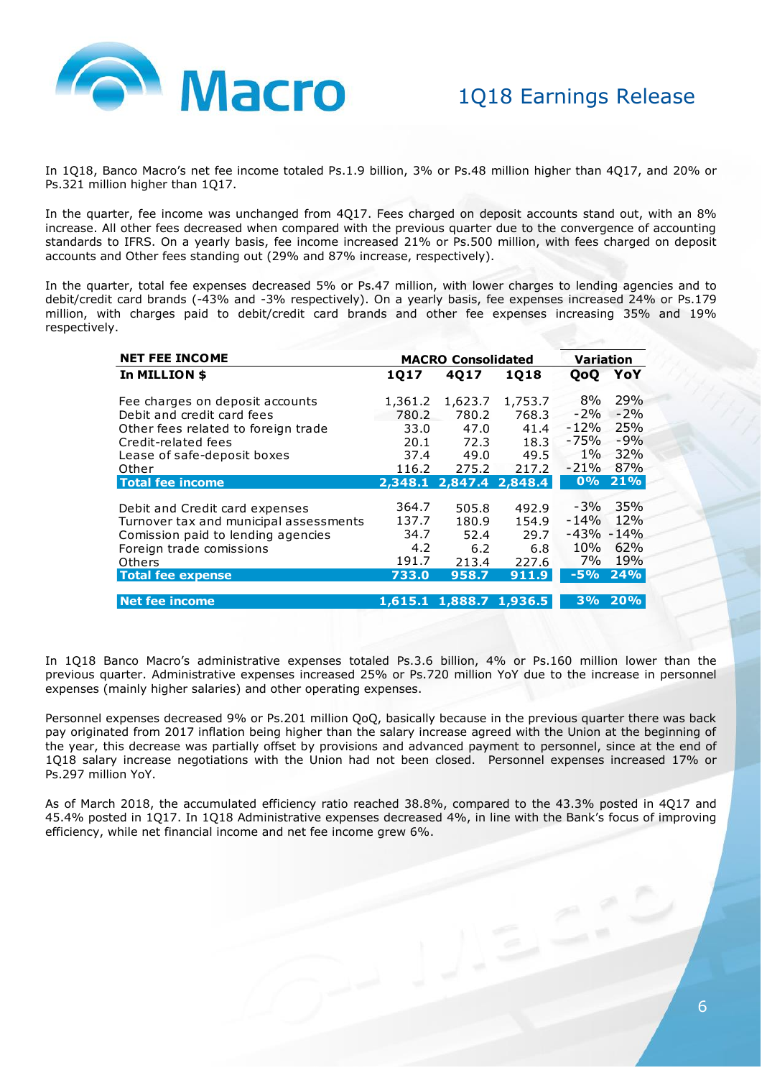

In 1Q18, Banco Macro's net fee income totaled Ps.1.9 billion, 3% or Ps.48 million higher than 4Q17, and 20% or Ps.321 million higher than 1Q17.

In the quarter, fee income was unchanged from 4Q17. Fees charged on deposit accounts stand out, with an 8% increase. All other fees decreased when compared with the previous quarter due to the convergence of accounting standards to IFRS. On a yearly basis, fee income increased 21% or Ps.500 million, with fees charged on deposit accounts and Other fees standing out (29% and 87% increase, respectively).

In the quarter, total fee expenses decreased 5% or Ps.47 million, with lower charges to lending agencies and to debit/credit card brands (-43% and -3% respectively). On a yearly basis, fee expenses increased 24% or Ps.179 million, with charges paid to debit/credit card brands and other fee expenses increasing 35% and 19% respectively.

| <b>NET FEE INCOME</b>                                                                                                                                                            |                                                 | <b>MACRO Consolidated</b>                       |                                                 | Variation                                               |                                     |
|----------------------------------------------------------------------------------------------------------------------------------------------------------------------------------|-------------------------------------------------|-------------------------------------------------|-------------------------------------------------|---------------------------------------------------------|-------------------------------------|
| In MILLION \$                                                                                                                                                                    | 1Q17                                            | 4017                                            | 1018                                            | <b>QoO</b>                                              | YoY                                 |
| Fee charges on deposit accounts<br>Debit and credit card fees<br>Other fees related to foreign trade<br>Credit-related fees<br>Lease of safe-deposit boxes                       | 1,361.2<br>780.2<br>33.0<br>20.1<br>37.4        | 1,623.7<br>780.2<br>47.0<br>72.3<br>49.0        | 1,753.7<br>768.3<br>41.4<br>18.3<br>49.5        | 8%<br>$-2%$<br>$-12%$<br>-75%<br>$1\%$                  | 29%<br>$-2%$<br>25%<br>$-9%$<br>32% |
| Other                                                                                                                                                                            | 116.2                                           | 275.2                                           | 217.2                                           | $-21%$                                                  | 87%                                 |
| <b>Total fee income</b>                                                                                                                                                          | 2,348.1                                         | 2,847.4                                         | 2,848.4                                         | 0%                                                      | 21%                                 |
| Debit and Credit card expenses<br>Turnover tax and municipal assessments<br>Comission paid to lending agencies<br>Foreign trade comissions<br>Others<br><b>Total fee expense</b> | 364.7<br>137.7<br>34.7<br>4.2<br>191.7<br>733.0 | 505.8<br>180.9<br>52.4<br>6.2<br>213.4<br>958.7 | 492.9<br>154.9<br>29.7<br>6.8<br>227.6<br>911.9 | $-3%$<br>$-14%$<br>$-43\% - 14\%$<br>10%<br>7%<br>$-5%$ | 35%<br>12%<br>62%<br>19%<br>24%     |
| <b>Net fee income</b>                                                                                                                                                            |                                                 | 1,615.1 1,888.7 1,936.5                         |                                                 | 3%                                                      | 20%                                 |

In 1Q18 Banco Macro's administrative expenses totaled Ps.3.6 billion, 4% or Ps.160 million lower than the previous quarter. Administrative expenses increased 25% or Ps.720 million YoY due to the increase in personnel expenses (mainly higher salaries) and other operating expenses.

Personnel expenses decreased 9% or Ps.201 million QoQ, basically because in the previous quarter there was back pay originated from 2017 inflation being higher than the salary increase agreed with the Union at the beginning of the year, this decrease was partially offset by provisions and advanced payment to personnel, since at the end of 1Q18 salary increase negotiations with the Union had not been closed. Personnel expenses increased 17% or Ps.297 million YoY.

As of March 2018, the accumulated efficiency ratio reached 38.8%, compared to the 43.3% posted in 4Q17 and 45.4% posted in 1Q17. In 1Q18 Administrative expenses decreased 4%, in line with the Bank's focus of improving efficiency, while net financial income and net fee income grew 6%.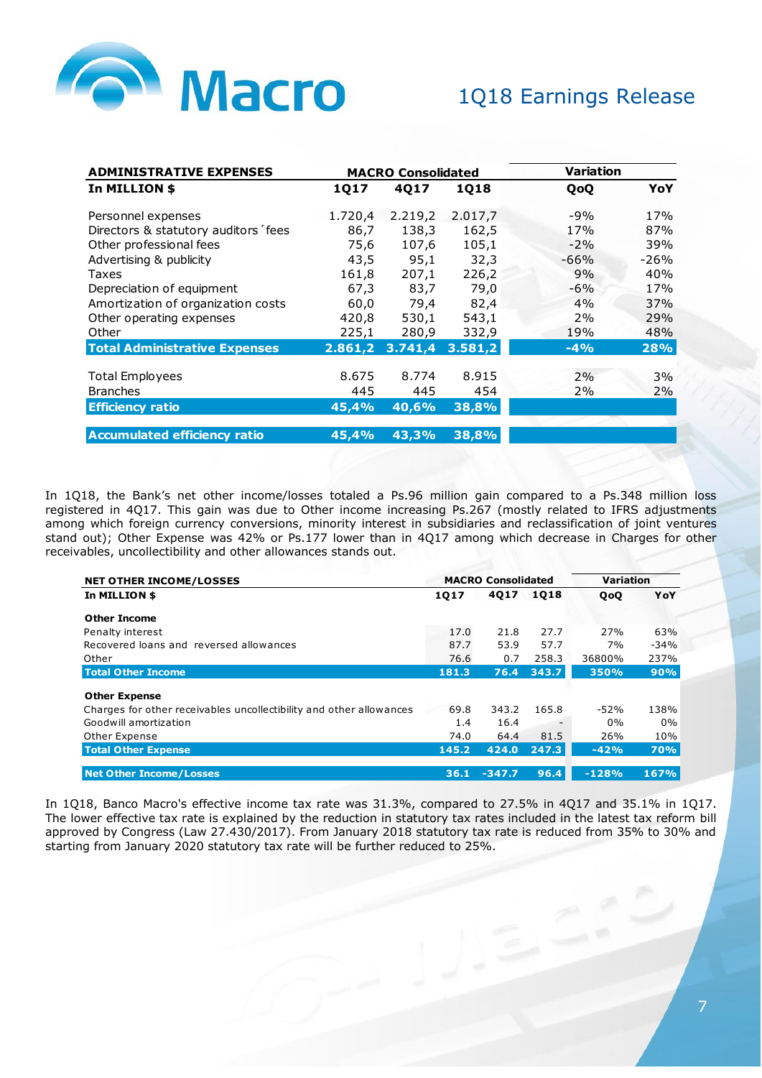

| <b>ADMINISTRATIVE EXPENSES</b>       |         | <b>MACRO Consolidated</b> |         | Variation |        |
|--------------------------------------|---------|---------------------------|---------|-----------|--------|
| In MILLION \$                        | 1Q17    | 4Q17                      | 1Q18    | QoQ       | YoY    |
| Personnel expenses                   | 1.720,4 | 2.219,2                   | 2.017,7 | $-9%$     | 17%    |
| Directors & statutory auditors fees  | 86,7    | 138,3                     | 162,5   | 17%       | 87%    |
| Other professional fees              | 75,6    | 107,6                     | 105,1   | $-2%$     | 39%    |
| Advertising & publicity              | 43,5    | 95,1                      | 32,3    | $-66%$    | $-26%$ |
| Taxes                                | 161,8   | 207,1                     | 226,2   | 9%        | 40%    |
| Depreciation of equipment            | 67,3    | 83,7                      | 79,0    | $-6%$     | 17%    |
| Amortization of organization costs   | 60,0    | 79,4                      | 82,4    | 4%        | 37%    |
| Other operating expenses             | 420,8   | 530,1                     | 543,1   | 2%        | 29%    |
| Other                                | 225,1   | 280,9                     | 332,9   | 19%       | 48%    |
| <b>Total Administrative Expenses</b> | 2.861,2 | 3.741, 4                  | 3.581,2 | $-4%$     | 28%    |
| <b>Total Employees</b>               | 8.675   | 8.774                     | 8.915   | 2%        | 3%     |
| <b>Branches</b>                      | 445     | 445                       | 454     | 2%        | 2%     |
| <b>Efficiency ratio</b>              | 45,4%   | 40,6%                     | 38,8%   |           |        |
| <b>Accumulated efficiency ratio</b>  | 45,4%   | 43,3%                     | 38,8%   |           |        |

In 1Q18, the Bank's net other income/losses totaled a Ps.96 million gain compared to a Ps.348 million loss registered in 4Q17. This gain was due to Other income increasing Ps.267 (mostly related to IFRS adjustments among which foreign currency conversions, minority interest in subsidiaries and reclassification of joint ventures stand out); Other Expense was 42% or Ps.177 lower than in 4Q17 among which decrease in Charges for other receivables, uncollectibility and other allowances stands out.

| <b>NET OTHER INCOME/LOSSES</b>                                      |       | <b>MACRO Consolidated</b> | <b>Variation</b> |         |            |
|---------------------------------------------------------------------|-------|---------------------------|------------------|---------|------------|
| In MILLION \$                                                       | 1Q17  | 4Q17                      | 1018             | QoQ     | YoY        |
| <b>Other Income</b>                                                 |       |                           |                  |         |            |
| Penalty interest                                                    | 17.0  | 21.8                      | 27.7             | 27%     | 63%        |
| Recovered loans and reversed allowances                             | 87.7  | 53.9                      | 57.7             | 7%      | $-34%$     |
| Other                                                               | 76.6  | 0.7                       | 258.3            | 36800%  | 237%       |
| <b>Total Other Income</b>                                           | 181.3 | 76.4                      | 343.7            | 350%    | 90%        |
| <b>Other Expense</b>                                                |       |                           |                  |         |            |
| Charges for other receivables uncollectibility and other allowances | 69.8  | 343.2                     | 165.8            | $-52%$  | 138%       |
| Goodwill amortization                                               | 1.4   | 16.4                      |                  | $0\%$   | $0\%$      |
| Other Expense                                                       | 74.0  | 64.4                      | 81.5             | 26%     | 10%        |
| <b>Total Other Expense</b>                                          | 145.2 | 424.0                     | 247.3            | $-42%$  | <b>70%</b> |
| <b>Net Other Income/Losses</b>                                      | 36.1  | $-347.7$                  | 96.4             | $-128%$ | 167%       |

In 1Q18, Banco Macro's effective income tax rate was 31.3%, compared to 27.5% in 4Q17 and 35.1% in 1Q17. The lower effective tax rate is explained by the reduction in statutory tax rates included in the latest tax reform bill approved by Congress (Law 27.430/2017). From January 2018 statutory tax rate is reduced from 35% to 30% and starting from January 2020 statutory tax rate will be further reduced to 25%.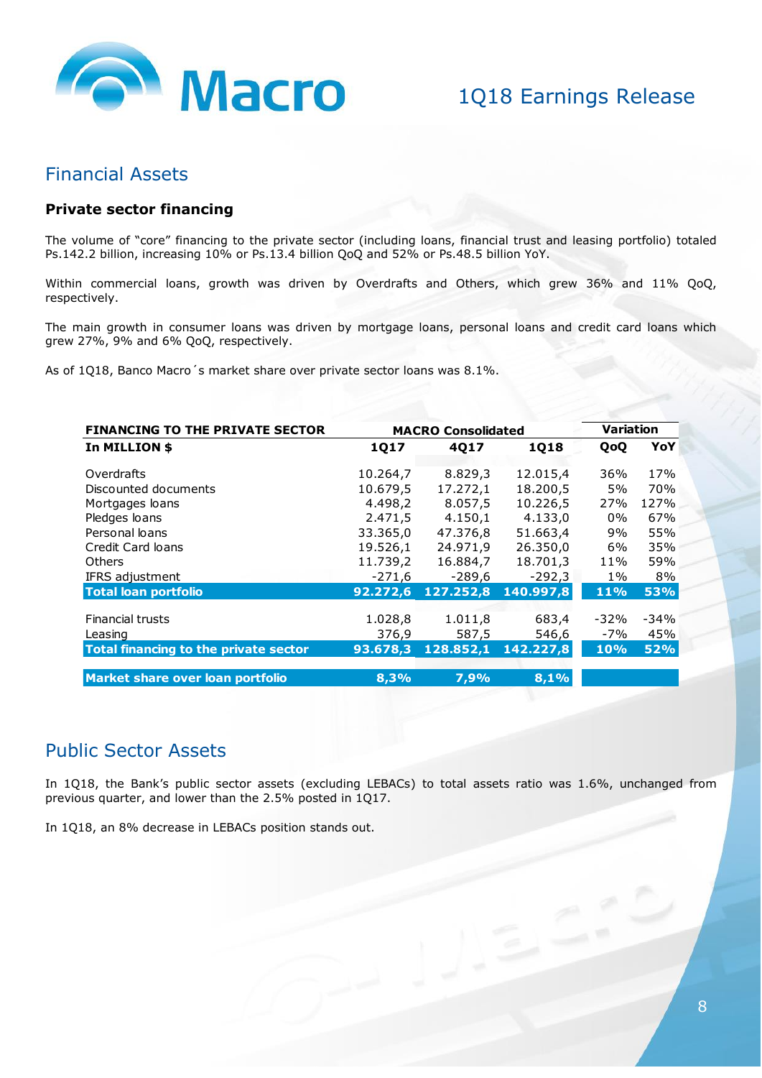

### Financial Assets

#### **Private sector financing**

The volume of "core" financing to the private sector (including loans, financial trust and leasing portfolio) totaled Ps.142.2 billion, increasing 10% or Ps.13.4 billion QoQ and 52% or Ps.48.5 billion YoY.

Within commercial loans, growth was driven by Overdrafts and Others, which grew 36% and 11% QoQ, respectively.

The main growth in consumer loans was driven by mortgage loans, personal loans and credit card loans which grew 27%, 9% and 6% QoQ, respectively.

As of 1Q18, Banco Macro´s market share over private sector loans was 8.1%.

| <b>FINANCING TO THE PRIVATE SECTOR</b> |          | <b>MACRO Consolidated</b> |           |        |            |  |
|----------------------------------------|----------|---------------------------|-----------|--------|------------|--|
| In MILLION \$                          | 1Q17     | 4Q17                      | 1Q18      | QoQ    | YoY        |  |
| Overdrafts                             | 10.264,7 | 8.829,3                   | 12.015,4  | 36%    | 17%        |  |
| Discounted documents                   | 10.679,5 | 17.272,1                  | 18.200,5  | 5%     | 70%        |  |
| Mortgages loans                        | 4.498,2  | 8.057,5                   | 10.226,5  | 27%    | 127%       |  |
| Pledges loans                          | 2.471,5  | 4.150,1                   | 4.133,0   | 0%     | 67%        |  |
| Personal loans                         | 33.365,0 | 47.376,8                  | 51.663,4  | 9%     | 55%        |  |
| Credit Card loans                      | 19.526,1 | 24.971,9                  | 26.350,0  | 6%     | 35%        |  |
| <b>Others</b>                          | 11.739,2 | 16.884,7                  | 18.701,3  | 11%    | 59%        |  |
| IFRS adjustment                        | $-271,6$ | $-289,6$                  | $-292,3$  | $1\%$  | 8%         |  |
| <b>Total loan portfolio</b>            | 92.272,6 | 127.252,8                 | 140.997,8 | 11%    | <b>53%</b> |  |
|                                        |          |                           |           |        |            |  |
| <b>Financial trusts</b>                | 1.028,8  | 1.011,8                   | 683,4     | $-32%$ | $-34%$     |  |
| Leasing                                | 376,9    | 587,5                     | 546,6     | $-7%$  | 45%        |  |
| Total financing to the private sector  | 93.678,3 | 128.852,1                 | 142.227,8 | 10%    | <b>52%</b> |  |
| Market share over loan portfolio       | 8.3%     | 7.9%                      | 8,1%      |        |            |  |

### Public Sector Assets

In 1Q18, the Bank's public sector assets (excluding LEBACs) to total assets ratio was 1.6%, unchanged from previous quarter, and lower than the 2.5% posted in 1Q17.

In 1Q18, an 8% decrease in LEBACs position stands out.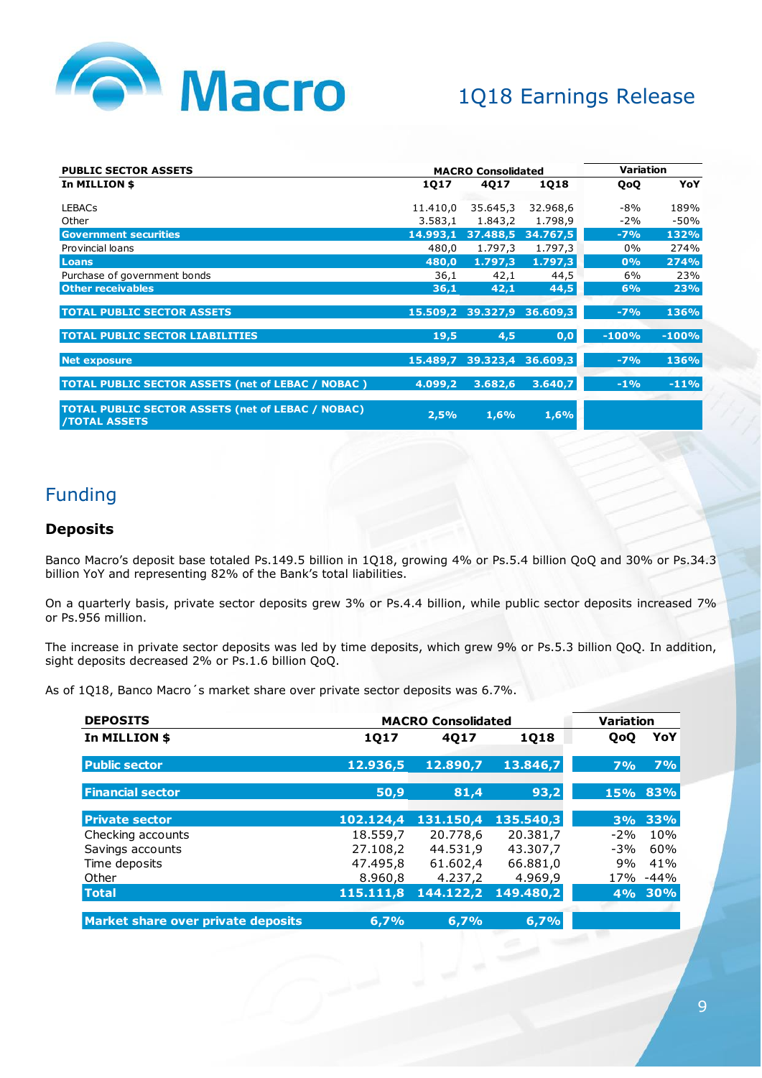

| <b>PUBLIC SECTOR ASSETS</b>                                                      |          | <b>MACRO Consolidated</b>  | Variation |         |         |
|----------------------------------------------------------------------------------|----------|----------------------------|-----------|---------|---------|
| In MILLION \$                                                                    | 1Q17     | 4017                       | 1018      | QoQ     | YoY     |
| <b>LEBACs</b>                                                                    | 11.410,0 | 35.645,3                   | 32.968,6  | $-8%$   | 189%    |
| Other                                                                            | 3.583,1  | 1.843,2                    | 1.798,9   | $-2%$   | $-50%$  |
| <b>Government securities</b>                                                     | 14.993,1 | 37.488,5                   | 34.767,5  | $-7%$   | 132%    |
| Provincial loans                                                                 | 480,0    | 1.797,3                    | 1.797,3   | $0\%$   | 274%    |
| Loans                                                                            | 480.0    | 1.797,3                    | 1.797,3   | 0%      | 274%    |
| Purchase of government bonds                                                     | 36,1     | 42,1                       | 44,5      | 6%      | 23%     |
| <b>Other receivables</b>                                                         | 36,1     | 42,1                       | 44,5      | 6%      | 23%     |
| <b>TOTAL PUBLIC SECTOR ASSETS</b>                                                |          | 15.509,2 39.327,9 36.609,3 |           | $-7%$   | 136%    |
| <b>TOTAL PUBLIC SECTOR LIABILITIES</b>                                           | 19,5     | 4,5                        | 0,0       | $-100%$ | $-100%$ |
| <b>Net exposure</b>                                                              | 15.489,7 | 39.323,4                   | 36.609,3  | $-7%$   | 136%    |
| <b>TOTAL PUBLIC SECTOR ASSETS (net of LEBAC / NOBAC )</b>                        | 4.099,2  | 3.682,6                    | 3.640,7   | $-1%$   | $-11%$  |
| <b>TOTAL PUBLIC SECTOR ASSETS (net of LEBAC / NOBAC)</b><br><b>/TOTAL ASSETS</b> | 2,5%     | 1,6%                       | 1,6%      |         |         |

## Funding

#### **Deposits**

Banco Macro's deposit base totaled Ps.149.5 billion in 1Q18, growing 4% or Ps.5.4 billion QoQ and 30% or Ps.34.3 billion YoY and representing 82% of the Bank's total liabilities.

On a quarterly basis, private sector deposits grew 3% or Ps.4.4 billion, while public sector deposits increased 7% or Ps.956 million.

The increase in private sector deposits was led by time deposits, which grew 9% or Ps.5.3 billion QoQ. In addition, sight deposits decreased 2% or Ps.1.6 billion QoQ.

As of 1Q18, Banco Macro´s market share over private sector deposits was 6.7%.

| <b>DEPOSITS</b>                    |             | <b>MACRO Consolidated</b> |           | <b>Variation</b> |        |
|------------------------------------|-------------|---------------------------|-----------|------------------|--------|
| In MILLION \$                      | <b>1Q17</b> | 4017                      | 1Q18      | <b>QoO</b>       | YoY    |
| <b>Public sector</b>               | 12.936,5    | 12.890,7                  | 13.846,7  | 7%               | 7%     |
| <b>Financial sector</b>            | 50,9        | 81,4                      | 93,2      | 15%              | 83%    |
| <b>Private sector</b>              | 102.124,4   | 131.150.4                 | 135.540,3 | 3%               | 33%    |
| Checking accounts                  | 18.559,7    | 20.778.6                  | 20.381.7  | $-2%$            | 10%    |
| Savings accounts                   | 27.108.2    | 44.531.9                  | 43.307.7  | $-3%$            | 60%    |
| Time deposits                      | 47.495,8    | 61.602,4                  | 66.881,0  | 9%               | 41%    |
| Other                              | 8.960,8     | 4.237,2                   | 4.969,9   | 17%              | $-44%$ |
| <b>Total</b>                       | 115.111,8   | 144.122,2                 | 149.480,2 | 4%               | 30%    |
|                                    |             |                           |           |                  |        |
| Market share over private deposits | 6,7%        | 6,7%                      | 6,7%      |                  |        |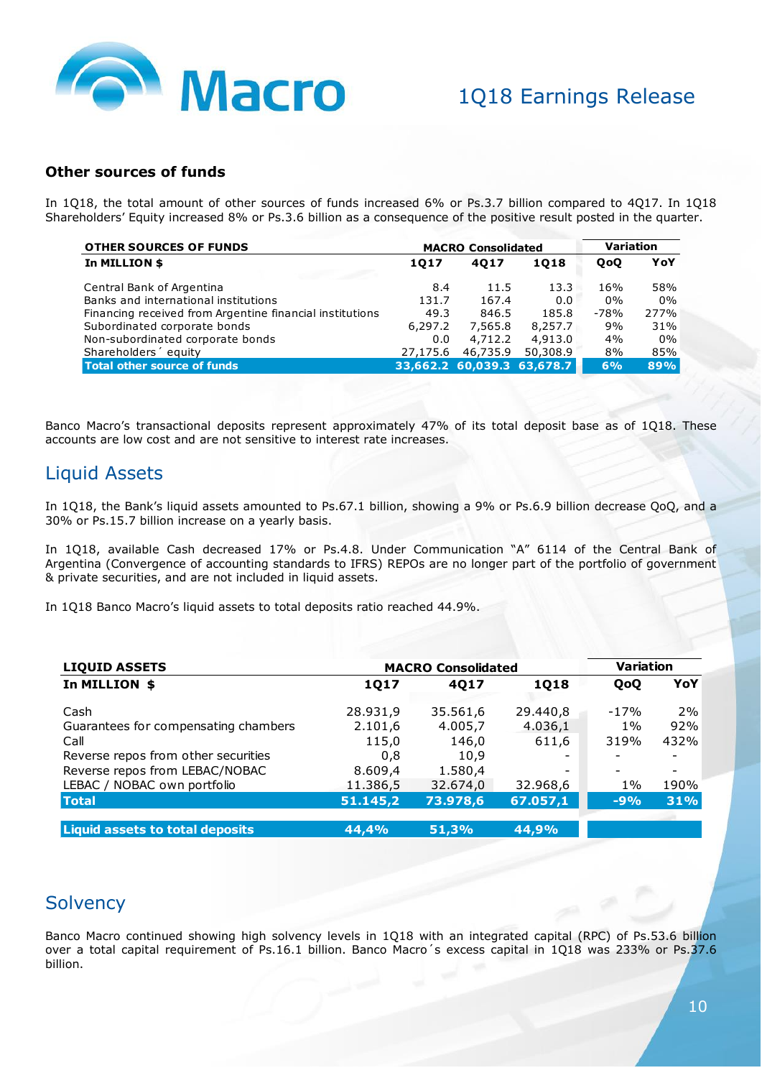

#### **Other sources of funds**

In 1Q18, the total amount of other sources of funds increased 6% or Ps.3.7 billion compared to 4Q17. In 1Q18 Shareholders' Equity increased 8% or Ps.3.6 billion as a consequence of the positive result posted in the quarter.

| <b>OTHER SOURCES OF FUNDS</b>                            |          | <b>MACRO Consolidated</b>  | <b>Variation</b> |        |       |
|----------------------------------------------------------|----------|----------------------------|------------------|--------|-------|
| In MILLION \$                                            | 1017     | 4017                       |                  | QoQ    | YoY   |
| Central Bank of Argentina                                | 8.4      | 11.5                       | 13.3             | 16%    | 58%   |
| Banks and international institutions                     | 131.7    | 167.4                      | 0.0              | $0\%$  | 0%    |
| Financing received from Argentine financial institutions | 49.3     | 846.5                      | 185.8            | $-78%$ | 277%  |
| Subordinated corporate bonds                             | 6,297.2  | 7,565.8                    | 8,257.7          | 9%     | 31%   |
| Non-subordinated corporate bonds                         | 0.0      | 4,712.2                    | 4,913.0          | 4%     | $0\%$ |
| Shareholders equity                                      | 27,175.6 | 46,735.9                   | 50,308.9         | 8%     | 85%   |
| Total other source of funds                              |          | 33,662.2 60,039.3 63,678.7 |                  | 6%     | 89%   |
|                                                          |          |                            |                  |        |       |

Banco Macro's transactional deposits represent approximately 47% of its total deposit base as of 1Q18. These accounts are low cost and are not sensitive to interest rate increases.

## Liquid Assets

In 1Q18, the Bank's liquid assets amounted to Ps.67.1 billion, showing a 9% or Ps.6.9 billion decrease QoQ, and a 30% or Ps.15.7 billion increase on a yearly basis.

In 1Q18, available Cash decreased 17% or Ps.4.8. Under Communication "A" 6114 of the Central Bank of Argentina (Convergence of accounting standards to IFRS) REPOs are no longer part of the portfolio of government & private securities, and are not included in liquid assets.

In 1Q18 Banco Macro's liquid assets to total deposits ratio reached 44.9%.

| <b>LIQUID ASSETS</b>                   | <b>MACRO Consolidated</b> | <b>Variation</b> |             |                          |                          |
|----------------------------------------|---------------------------|------------------|-------------|--------------------------|--------------------------|
| In MILLION \$                          | <b>1Q17</b>               | 4017             | <b>1Q18</b> | QoQ                      | YoY                      |
| Cash                                   | 28.931,9                  | 35.561,6         | 29.440,8    | $-17%$                   | 2%                       |
| Guarantees for compensating chambers   | 2.101,6                   | 4.005,7          | 4.036,1     | $1\%$                    | 92%                      |
| Call                                   | 115,0                     | 146,0            | 611,6       | 319%                     | 432%                     |
| Reverse repos from other securities    | 0.8                       | 10,9             |             | ۰                        |                          |
| Reverse repos from LEBAC/NOBAC         | 8.609,4                   | 1.580,4          |             | $\overline{\phantom{0}}$ | $\overline{\phantom{a}}$ |
| LEBAC / NOBAC own portfolio            | 11.386,5                  | 32.674,0         | 32.968,6    | $1\%$                    | 190%                     |
| <b>Total</b>                           | 51.145,2                  | 73.978,6         | 67.057,1    | $-9%$                    | 31%                      |
| <b>Liquid assets to total deposits</b> | 44,4%                     | 51,3%            | 44,9%       |                          |                          |

## **Solvency**

Banco Macro continued showing high solvency levels in 1Q18 with an integrated capital (RPC) of Ps.53.6 billion over a total capital requirement of Ps.16.1 billion. Banco Macro´s excess capital in 1Q18 was 233% or Ps.37.6 billion.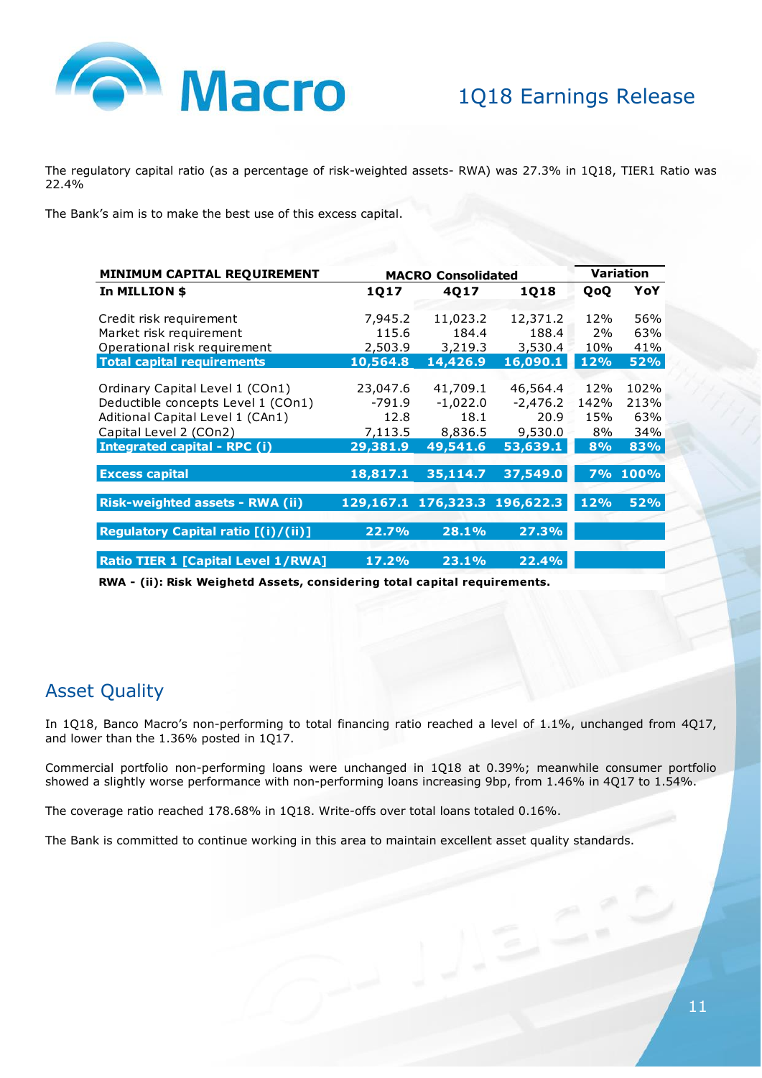

The regulatory capital ratio (as a percentage of risk-weighted assets- RWA) was 27.3% in 1Q18, TIER1 Ratio was 22.4%

The Bank's aim is to make the best use of this excess capital.

| MINIMUM CAPITAL REQUIREMENT                                                                                                                                         |                                                     | <b>MACRO Consolidated</b>                             |                                                       |                                | <b>Variation</b>                  |
|---------------------------------------------------------------------------------------------------------------------------------------------------------------------|-----------------------------------------------------|-------------------------------------------------------|-------------------------------------------------------|--------------------------------|-----------------------------------|
| In MILLION \$                                                                                                                                                       | 1Q17                                                | 4017                                                  | 1Q18                                                  | QoQ                            | YoY                               |
| Credit risk requirement                                                                                                                                             | 7,945.2                                             | 11,023.2                                              | 12,371.2                                              | 12%                            | 56%                               |
| Market risk requirement                                                                                                                                             | 115.6                                               | 184.4                                                 | 188.4                                                 | 2%                             | 63%                               |
| Operational risk requirement                                                                                                                                        | 2,503.9                                             | 3,219.3                                               | 3,530.4                                               | 10%                            | 41%                               |
| <b>Total capital requirements</b>                                                                                                                                   | 10,564.8                                            | 14,426.9                                              | 16,090.1                                              | 12%                            | <b>52%</b>                        |
| Ordinary Capital Level 1 (COn1)<br>Deductible concepts Level 1 (COn1)<br>Aditional Capital Level 1 (CAn1)<br>Capital Level 2 (COn2)<br>Integrated capital - RPC (i) | 23,047.6<br>$-791.9$<br>12.8<br>7,113.5<br>29,381.9 | 41,709.1<br>$-1,022.0$<br>18.1<br>8,836.5<br>49,541.6 | 46,564.4<br>$-2,476.2$<br>20.9<br>9,530.0<br>53,639.1 | 12%<br>142%<br>15%<br>8%<br>8% | 102%<br>213%<br>63%<br>34%<br>83% |
| <b>Excess capital</b>                                                                                                                                               | 18,817.1                                            | 35,114.7                                              | 37,549.0                                              |                                | 7% 100%                           |
| <b>Risk-weighted assets - RWA (ii)</b>                                                                                                                              |                                                     | 129,167.1 176,323.3 196,622.3                         |                                                       | 12%                            | <b>52%</b>                        |
| Regulatory Capital ratio [(i)/(ii)]                                                                                                                                 | 22.7%                                               | 28.1%                                                 | 27.3%                                                 |                                |                                   |
| <b>Ratio TIER 1 [Capital Level 1/RWA]</b>                                                                                                                           | 17.2%                                               | 23.1%                                                 | 22.4%                                                 |                                |                                   |

**RWA - (ii): Risk Weighetd Assets, considering total capital requirements.**

## Asset Quality

In 1Q18, Banco Macro's non-performing to total financing ratio reached a level of 1.1%, unchanged from 4Q17, and lower than the 1.36% posted in 1Q17.

Commercial portfolio non-performing loans were unchanged in 1Q18 at 0.39%; meanwhile consumer portfolio showed a slightly worse performance with non-performing loans increasing 9bp, from 1.46% in 4Q17 to 1.54%.

The coverage ratio reached 178.68% in 1Q18. Write-offs over total loans totaled 0.16%.

The Bank is committed to continue working in this area to maintain excellent asset quality standards.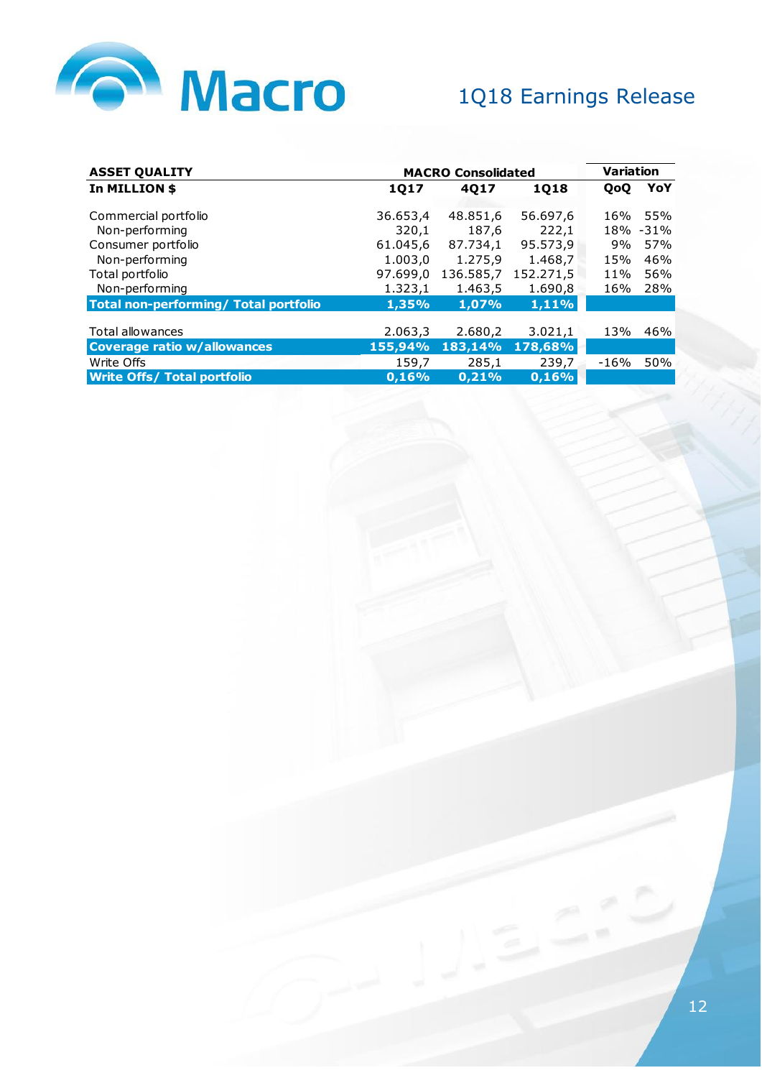

| <b>ASSET QUALITY</b>                  |          | <b>Variation</b><br><b>MACRO Consolidated</b> |             |      |      |
|---------------------------------------|----------|-----------------------------------------------|-------------|------|------|
| In MILLION \$                         | 1Q17     | 4Q17                                          | <b>1Q18</b> | QoQ  | YoY  |
| Commercial portfolio                  | 36.653,4 | 48.851,6                                      | 56.697,6    | 16%  | 55%  |
| Non-performing                        | 320,1    | 187,6                                         | 222,1       | 18%  | -31% |
| Consumer portfolio                    | 61.045,6 | 87.734,1                                      | 95.573,9    | 9%   | 57%  |
| Non-performing                        | 1.003,0  | 1.275,9                                       | 1.468,7     | 15%  | 46%  |
| Total portfolio                       | 97.699,0 | 136.585,7                                     | 152.271,5   | 11%  | 56%  |
| Non-performing                        | 1.323,1  | 1.463,5                                       | 1.690,8     | 16%  | 28%  |
| Total non-performing/ Total portfolio | 1,35%    | 1,07%                                         | 1,11%       |      |      |
|                                       |          |                                               |             |      |      |
| Total allowances                      | 2.063,3  | 2.680,2                                       | 3.021,1     | 13%  | 46%  |
| <b>Coverage ratio w/allowances</b>    | 155,94%  | 183,14%                                       | 178,68%     |      |      |
| Write Offs                            | 159,7    | 285,1                                         | 239,7       | -16% | 50%  |
| <b>Write Offs/ Total portfolio</b>    | 0.16%    | 0.21%                                         | 0.16%       |      |      |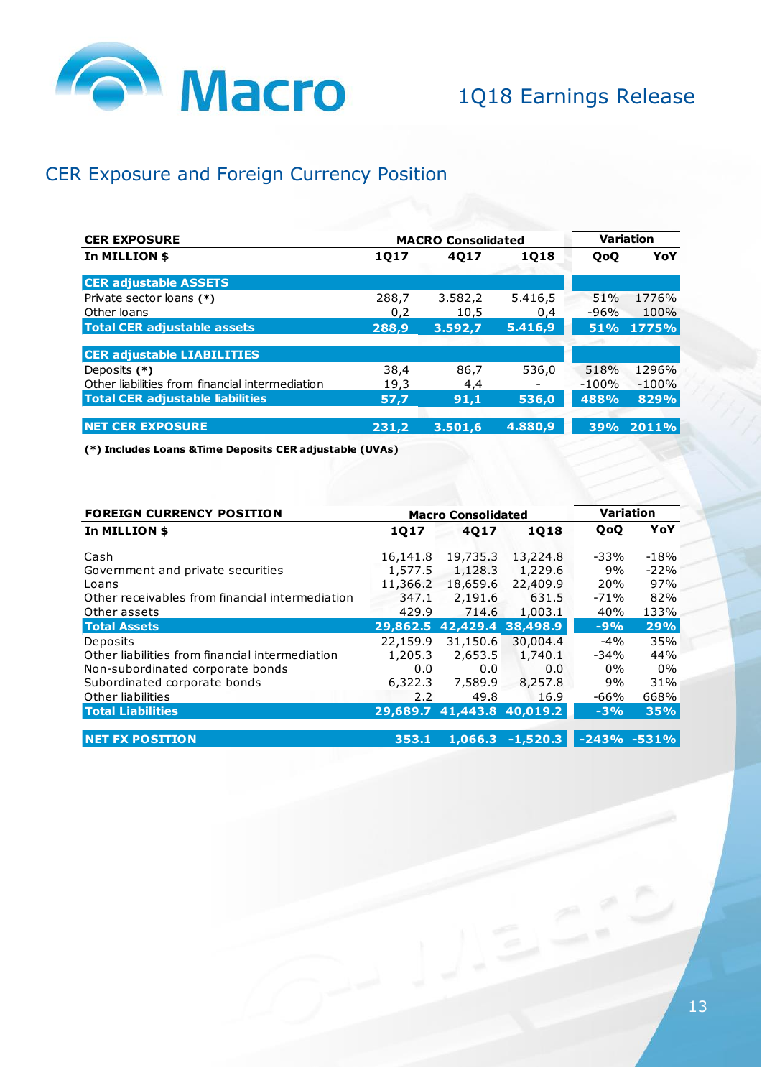

## CER Exposure and Foreign Currency Position

| <b>CER EXPOSURE</b>                             | <b>MACRO Consolidated</b> | <b>Variation</b> |         |         |         |
|-------------------------------------------------|---------------------------|------------------|---------|---------|---------|
| In MILLION \$                                   | 1Q17                      | 4017             | 1018    | QoQ     | YoY     |
| <b>CER adjustable ASSETS</b>                    |                           |                  |         |         |         |
| Private sector loans (*)                        | 288.7                     | 3.582.2          | 5.416.5 | 51%     | 1776%   |
| Other loans                                     | 0,2                       | 10,5             | 0,4     | -96%    | 100%    |
| <b>Total CER adjustable assets</b>              | 288,9                     | 3.592.7          | 5.416,9 | 51%     | 1775%   |
|                                                 |                           |                  |         |         |         |
| <b>CER adjustable LIABILITIES</b>               |                           |                  |         |         |         |
| Deposits (*)                                    | 38,4                      | 86.7             | 536.0   | 518%    | 1296%   |
| Other liabilities from financial intermediation | 19.3                      | 4.4              |         | $-100%$ | $-100%$ |
| <b>Total CER adjustable liabilities</b>         | 57,7                      | 91,1             | 536,0   | 488%    | 829%    |
| <b>NET CER EXPOSURE</b>                         | 231.2                     | 3.501.6          | 4.880,9 | 39%     | 2011%   |
|                                                 |                           |                  |         |         |         |

**(\*) Includes Loans &Time Deposits CER adjustable (UVAs)**

| <b>FOREIGN CURRENCY POSITION</b>                |          | <b>Macro Consolidated</b>  |            | <b>Variation</b> |                 |
|-------------------------------------------------|----------|----------------------------|------------|------------------|-----------------|
| In MILLION \$                                   | 1017     | 4017                       | 1018       | QoQ              | YoY             |
|                                                 |          |                            |            |                  |                 |
| Cash                                            | 16,141.8 | 19,735.3                   | 13,224.8   | -33%             | $-18%$          |
| Government and private securities               | 1,577.5  | 1,128.3                    | 1,229.6    | 9%               | $-22%$          |
| Loans                                           | 11,366.2 | 18,659.6                   | 22,409.9   | 20%              | 97%             |
| Other receivables from financial intermediation | 347.1    | 2,191.6                    | 631.5      | -71%             | 82%             |
| Other assets                                    | 429.9    | 714.6                      | 1,003.1    | 40%              | 133%            |
| <b>Total Assets</b>                             | 29,862.5 | 42,429.4                   | 38,498.9   | $-9%$            | 29%             |
| Deposits                                        | 22,159.9 | 31,150.6                   | 30,004.4   | $-4%$            | 35%             |
| Other liabilities from financial intermediation | 1,205.3  | 2,653.5                    | 1,740.1    | -34%             | 44%             |
| Non-subordinated corporate bonds                | 0.0      | 0.0                        | 0.0        | $0\%$            | 0%              |
| Subordinated corporate bonds                    | 6,322.3  | 7,589.9                    | 8,257.8    | 9%               | 31%             |
| Other liabilities                               | 2.2      | 49.8                       | 16.9       | -66%             | 668%            |
| <b>Total Liabilities</b>                        |          | 29,689.7 41,443.8 40,019.2 |            | $-3%$            | 35%             |
|                                                 |          |                            |            |                  |                 |
| <b>NET FX POSITION</b>                          | 353.1    | 1,066.3                    | $-1,520.3$ |                  | $-243\% -531\%$ |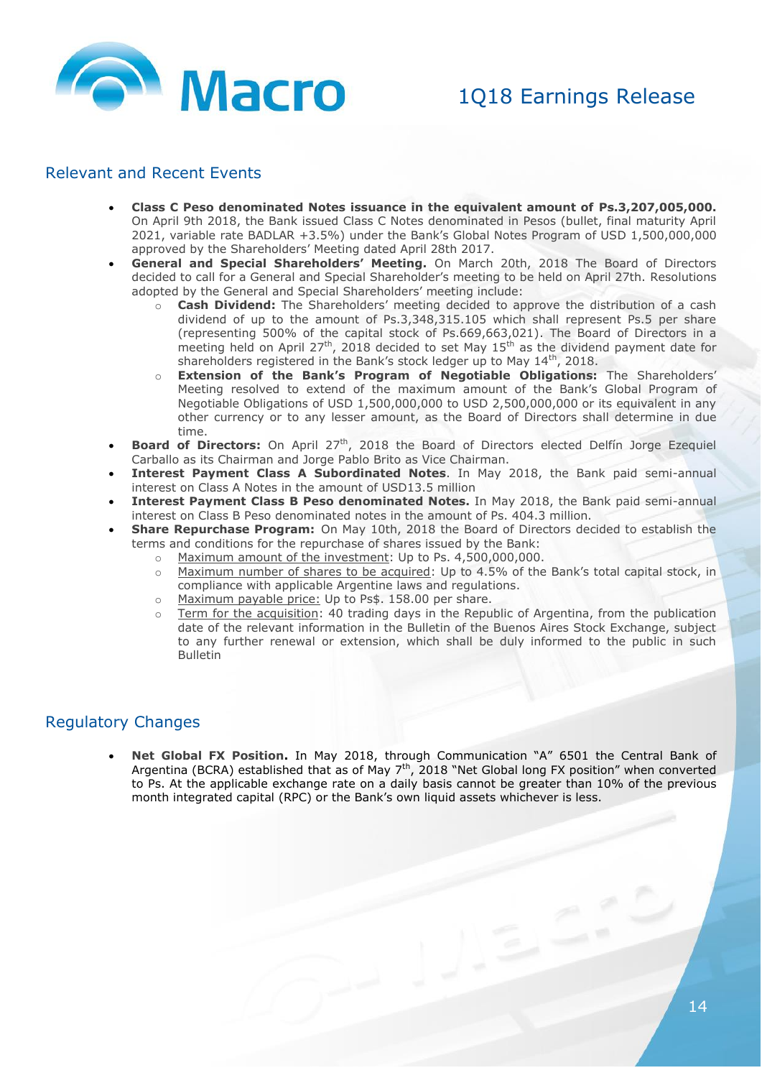

#### Relevant and Recent Events

- **Class C Peso denominated Notes issuance in the equivalent amount of Ps.3,207,005,000.** On April 9th 2018, the Bank issued Class C Notes denominated in Pesos (bullet, final maturity April 2021, variable rate BADLAR +3.5%) under the Bank's Global Notes Program of USD 1,500,000,000 approved by the Shareholders' Meeting dated April 28th 2017.
- **General and Special Shareholders' Meeting.** On March 20th, 2018 The Board of Directors decided to call for a General and Special Shareholder's meeting to be held on April 27th. Resolutions adopted by the General and Special Shareholders' meeting include:
	- **Cash Dividend:** The Shareholders' meeting decided to approve the distribution of a cash dividend of up to the amount of Ps.3,348,315.105 which shall represent Ps.5 per share (representing 500% of the capital stock of Ps.669,663,021). The Board of Directors in a meeting held on April 27<sup>th</sup>, 2018 decided to set May 15<sup>th</sup> as the dividend payment date for shareholders registered in the Bank's stock ledger up to May 14<sup>th</sup>, 2018.
	- o **Extension of the Bank's Program of Negotiable Obligations:** The Shareholders' Meeting resolved to extend of the maximum amount of the Bank's Global Program of Negotiable Obligations of USD 1,500,000,000 to USD 2,500,000,000 or its equivalent in any other currency or to any lesser amount, as the Board of Directors shall determine in due time.
- **Board of Directors:** On April 27<sup>th</sup>, 2018 the Board of Directors elected Delfín Jorge Ezequiel Carballo as its Chairman and Jorge Pablo Brito as Vice Chairman.
- **Interest Payment Class A Subordinated Notes**. In May 2018, the Bank paid semi-annual interest on Class A Notes in the amount of USD13.5 million
- **Interest Payment Class B Peso denominated Notes.** In May 2018, the Bank paid semi-annual interest on Class B Peso denominated notes in the amount of Ps. 404.3 million.
- **Share Repurchase Program:** On May 10th, 2018 the Board of Directors decided to establish the terms and conditions for the repurchase of shares issued by the Bank:
	- o Maximum amount of the investment: Up to Ps. 4,500,000,000.
		- o Maximum number of shares to be acquired: Up to 4.5% of the Bank's total capital stock, in compliance with applicable Argentine laws and regulations.
		- o Maximum payable price: Up to Ps\$. 158.00 per share.
		- o Term for the acquisition: 40 trading days in the Republic of Argentina, from the publication date of the relevant information in the Bulletin of the Buenos Aires Stock Exchange, subject to any further renewal or extension, which shall be duly informed to the public in such Bulletin

#### Regulatory Changes

 **Net Global FX Position.** In May 2018, through Communication "A" 6501 the Central Bank of Argentina (BCRA) established that as of May  $7<sup>th</sup>$ , 2018 "Net Global long FX position" when converted to Ps. At the applicable exchange rate on a daily basis cannot be greater than 10% of the previous month integrated capital (RPC) or the Bank's own liquid assets whichever is less.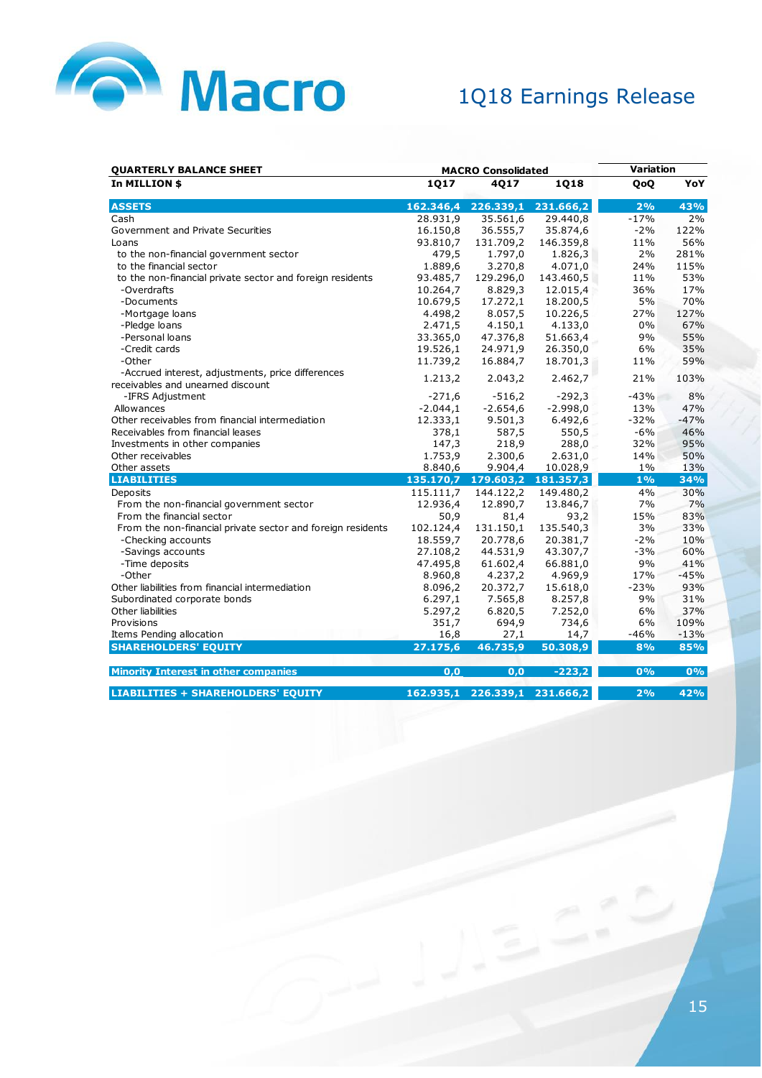

| <b>QUARTERLY BALANCE SHEET</b>                                                         | <b>MACRO Consolidated</b> |                               |            | Variation |        |  |
|----------------------------------------------------------------------------------------|---------------------------|-------------------------------|------------|-----------|--------|--|
| In MILLION \$                                                                          | 1Q17                      | 4017                          | 1Q18       | QoQ       | YoY    |  |
| <b>ASSETS</b>                                                                          | 162.346,4                 | 226.339,1                     | 231.666,2  | 2%        | 43%    |  |
| Cash                                                                                   | 28.931,9                  | 35.561,6                      | 29.440,8   | $-17%$    | 2%     |  |
| Government and Private Securities                                                      | 16.150,8                  | 36.555,7                      | 35.874,6   | $-2%$     | 122%   |  |
| Loans                                                                                  | 93.810,7                  | 131.709,2                     | 146.359,8  | 11%       | 56%    |  |
| to the non-financial government sector                                                 | 479,5                     | 1.797,0                       | 1.826,3    | 2%        | 281%   |  |
| to the financial sector                                                                | 1.889,6                   | 3.270,8                       | 4.071,0    | 24%       | 115%   |  |
| to the non-financial private sector and foreign residents                              | 93.485,7                  | 129.296,0                     | 143.460,5  | 11%       | 53%    |  |
| -Overdrafts                                                                            | 10.264,7                  | 8.829,3                       | 12.015,4   | 36%       | 17%    |  |
| -Documents                                                                             | 10.679,5                  | 17.272,1                      | 18.200,5   | 5%        | 70%    |  |
| -Mortgage loans                                                                        | 4.498,2                   | 8.057,5                       | 10.226,5   | 27%       | 127%   |  |
| -Pledge loans                                                                          | 2.471,5                   | 4.150,1                       | 4.133,0    | 0%        | 67%    |  |
| -Personal loans                                                                        | 33.365,0                  | 47.376,8                      | 51.663,4   | 9%        | 55%    |  |
| -Credit cards                                                                          | 19.526,1                  | 24.971,9                      | 26.350,0   | 6%        | 35%    |  |
| -Other                                                                                 | 11.739,2                  | 16.884,7                      | 18.701,3   | 11%       | 59%    |  |
| -Accrued interest, adjustments, price differences<br>receivables and unearned discount | 1.213,2                   | 2.043,2                       | 2.462,7    | 21%       | 103%   |  |
| -IFRS Adjustment                                                                       | $-271,6$                  | $-516,2$                      | $-292,3$   | $-43%$    | 8%     |  |
| Allowances                                                                             | $-2.044,1$                | $-2.654,6$                    | $-2.998,0$ | 13%       | 47%    |  |
| Other receivables from financial intermediation                                        | 12.333,1                  | 9.501,3                       | 6.492.6    | $-32%$    | $-47%$ |  |
| Receivables from financial leases                                                      | 378,1                     | 587,5                         | 550,5      | $-6%$     | 46%    |  |
| Investments in other companies                                                         | 147,3                     | 218,9                         | 288,0      | 32%       | 95%    |  |
| Other receivables                                                                      | 1.753,9                   | 2.300,6                       | 2.631,0    | 14%       | 50%    |  |
| Other assets                                                                           | 8.840,6                   | 9.904,4                       | 10.028,9   | $1\%$     | 13%    |  |
| <b>LIABILITIES</b>                                                                     |                           | 135.170,7 179.603,2 181.357,3 |            | 1%        | 34%    |  |
| Deposits                                                                               | 115.111,7                 | 144.122,2                     | 149.480,2  | 4%        | 30%    |  |
| From the non-financial government sector                                               | 12.936,4                  | 12.890,7                      | 13.846,7   | 7%        | 7%     |  |
| From the financial sector                                                              | 50,9                      | 81,4                          | 93,2       | 15%       | 83%    |  |
| From the non-financial private sector and foreign residents                            | 102.124,4                 | 131.150,1                     | 135.540,3  | 3%        | 33%    |  |
| -Checking accounts                                                                     | 18.559,7                  | 20.778,6                      | 20.381,7   | $-2%$     | 10%    |  |
| -Savings accounts                                                                      | 27.108,2                  | 44.531,9                      | 43.307,7   | $-3%$     | 60%    |  |
| -Time deposits                                                                         | 47.495,8                  | 61.602,4                      | 66.881,0   | 9%        | 41%    |  |
| -Other                                                                                 | 8.960,8                   | 4.237,2                       | 4.969,9    | 17%       | $-45%$ |  |
| Other liabilities from financial intermediation                                        | 8.096,2                   | 20.372,7                      | 15.618,0   | $-23%$    | 93%    |  |
| Subordinated corporate bonds                                                           | 6.297,1                   | 7.565,8                       | 8.257,8    | 9%        | 31%    |  |
| Other liabilities                                                                      | 5.297,2                   | 6.820,5                       | 7.252,0    | 6%        | 37%    |  |
| Provisions                                                                             | 351,7                     | 694,9                         | 734,6      | 6%        | 109%   |  |
| Items Pending allocation                                                               | 16,8                      | 27,1                          | 14,7       | $-46%$    | $-13%$ |  |
| <b>SHAREHOLDERS' EQUITY</b>                                                            | 27.175,6                  | 46.735,9                      | 50.308,9   | 8%        | 85%    |  |
| <b>Minority Interest in other companies</b>                                            | 0,0                       | 0,0                           | $-223,2$   | 0%        | 0%     |  |
| <b>LIABILITIES + SHAREHOLDERS' EQUITY</b>                                              | 162.935,1                 | 226.339,1                     | 231.666,2  | 2%        | 42%    |  |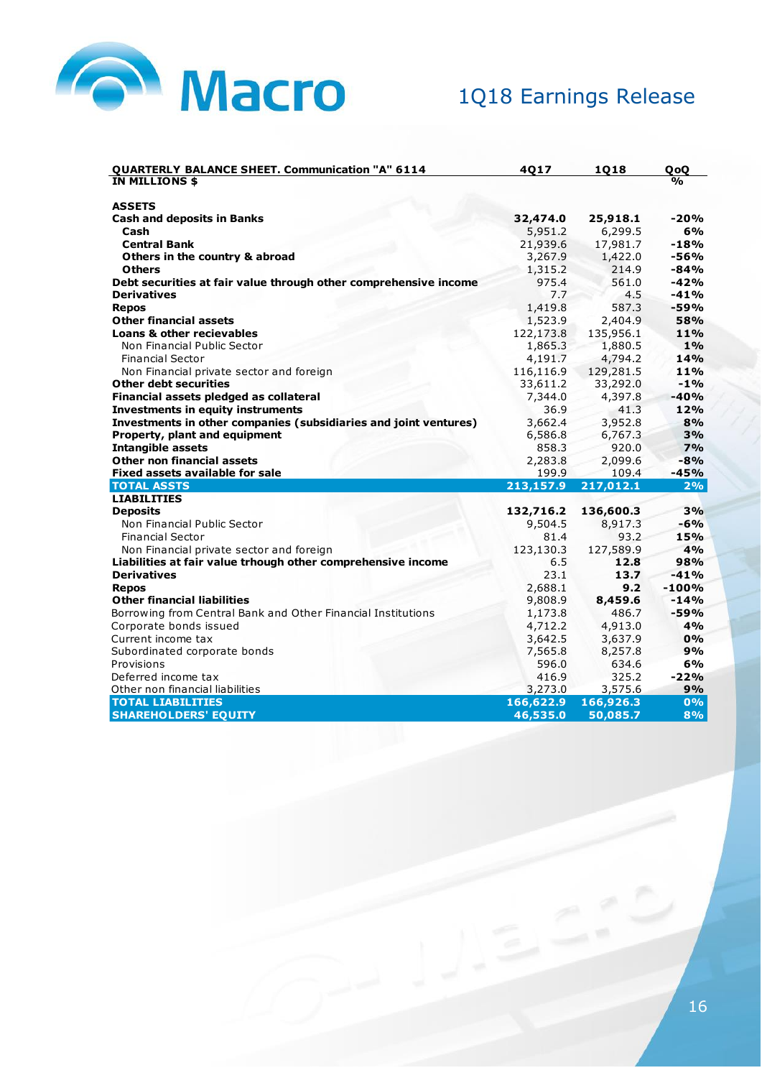

| <b>QUARTERLY BALANCE SHEET. Communication "A" 6114</b><br>4Q17<br><b>1Q18</b>          | QoQ           |
|----------------------------------------------------------------------------------------|---------------|
| IN MILLIONS \$                                                                         | $\frac{0}{0}$ |
| <b>ASSETS</b>                                                                          |               |
| <b>Cash and deposits in Banks</b><br>32,474.0<br>25,918.1                              | $-20%$        |
| Cash<br>5,951.2<br>6,299.5                                                             | 6%            |
| <b>Central Bank</b><br>21,939.6<br>17,981.7                                            | $-18%$        |
| Others in the country & abroad<br>3,267.9<br>1,422.0                                   | -56%          |
| 1,315.2<br>214.9<br><b>Others</b>                                                      | $-84%$        |
| Debt securities at fair value through other comprehensive income<br>975.4<br>561.0     | $-42%$        |
| 4.5<br><b>Derivatives</b><br>7.7                                                       | $-41%$        |
| 1,419.8<br>587.3<br><b>Repos</b>                                                       | $-59%$        |
| <b>Other financial assets</b><br>1,523.9<br>2,404.9                                    | 58%           |
| Loans & other recievables<br>122,173.8<br>135,956.1                                    | 11%           |
| Non Financial Public Sector<br>1.865.3<br>1.880.5                                      | 1%            |
| <b>Financial Sector</b><br>4,191.7<br>4,794.2                                          | 14%           |
| Non Financial private sector and foreign<br>116,116.9<br>129,281.5                     | 11%           |
| <b>Other debt securities</b><br>33,611.2<br>33,292.0                                   | $-1%$         |
| 7,344.0<br>Financial assets pledged as collateral<br>4,397.8                           | $-40%$        |
| <b>Investments in equity instruments</b><br>41.3<br>36.9                               | 12%           |
| Investments in other companies (subsidiaries and joint ventures)<br>3,662.4<br>3,952.8 | 8%            |
| Property, plant and equipment<br>6,767.3<br>6,586.8                                    | 3%            |
| <b>Intangible assets</b><br>858.3<br>920.0                                             | 7%            |
| Other non financial assets<br>2,099.6<br>2,283.8                                       | $-8%$         |
| 109.4<br><b>Fixed assets available for sale</b><br>199.9                               | $-45%$        |
| <b>TOTAL ASSTS</b><br>213,157.9<br>217,012.1                                           | 2%            |
| <b>LIABILITIES</b>                                                                     |               |
| 132,716.2<br>136,600.3<br><b>Deposits</b>                                              | 3%            |
| Non Financial Public Sector<br>9,504.5<br>8,917.3                                      | $-6%$         |
| <b>Financial Sector</b><br>93.2<br>81.4                                                | 15%           |
| 123,130.3<br>Non Financial private sector and foreign<br>127,589.9                     | 4%            |
| Liabilities at fair value trhough other comprehensive income<br>6.5<br>12.8            | 98%           |
| 23.1<br>13.7<br><b>Derivatives</b>                                                     | $-41%$        |
| 2,688.1<br>9.2<br><b>Repos</b>                                                         | $-100%$       |
| <b>Other financial liabilities</b><br>9,808.9<br>8,459.6                               | $-14%$        |
| Borrowing from Central Bank and Other Financial Institutions<br>1,173.8<br>486.7       | $-59%$        |
| Corporate bonds issued<br>4,712.2<br>4,913.0                                           | 4%            |
| 3,642.5<br>3,637.9<br>Current income tax                                               | 0%            |
| Subordinated corporate bonds<br>7,565.8<br>8,257.8                                     | 9%            |
| Provisions<br>596.0<br>634.6                                                           | 6%            |
| Deferred income tax<br>416.9<br>325.2                                                  | $-22%$        |
| 3,575.6<br>Other non financial liabilities<br>3,273.0                                  | 9%            |
| <b>TOTAL LIABILITIES</b><br>166,622.9<br>166,926.3                                     | 0%            |
| <b>SHAREHOLDERS' EQUITY</b><br>46,535.0<br>50,085.7                                    | 8%            |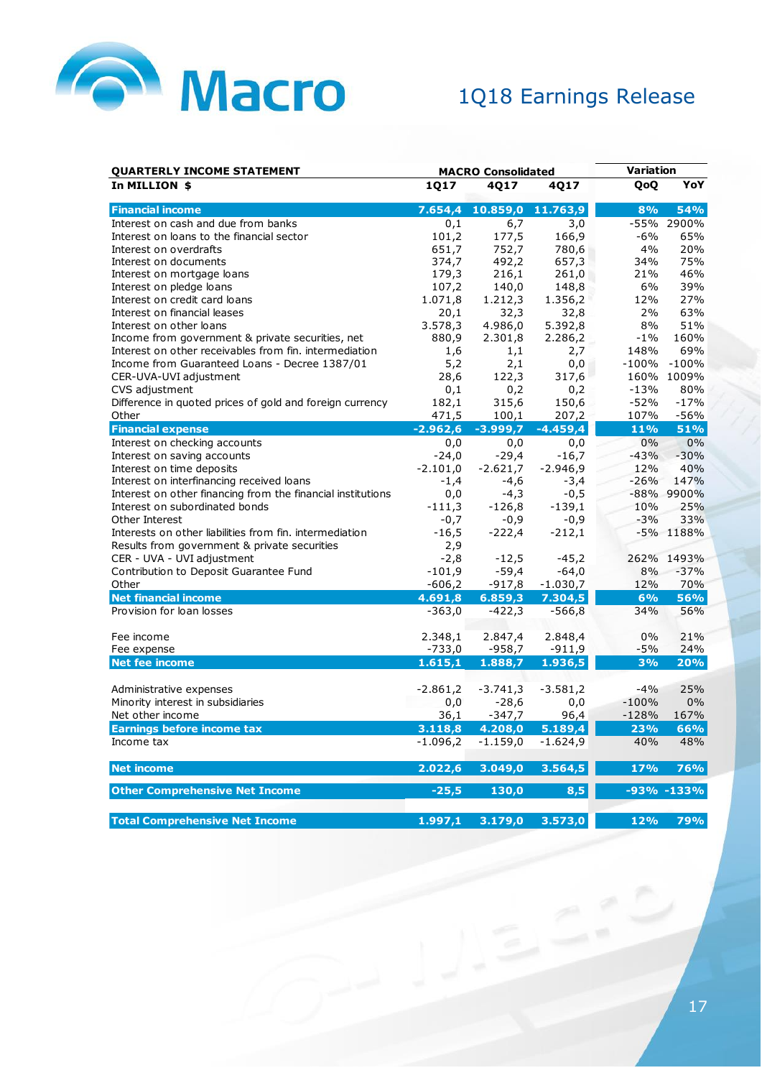

| <b>QUARTERLY INCOME STATEMENT</b>                           | <b>MACRO Consolidated</b> |                           |            | Variation |              |
|-------------------------------------------------------------|---------------------------|---------------------------|------------|-----------|--------------|
| In MILLION \$                                               | 1Q17                      | 4Q17                      | 4Q17       | QoQ       | YoY          |
| <b>Financial income</b>                                     |                           | 7.654,4 10.859,0 11.763,9 |            | 8%        | <b>54%</b>   |
| Interest on cash and due from banks                         | 0,1                       | 6,7                       | 3,0        |           | -55% 2900%   |
| Interest on loans to the financial sector                   | 101,2                     | 177,5                     | 166,9      | $-6%$     | 65%          |
| Interest on overdrafts                                      | 651,7                     | 752,7                     | 780,6      | 4%        | 20%          |
| Interest on documents                                       | 374,7                     | 492,2                     | 657,3      | 34%       | 75%          |
| Interest on mortgage loans                                  | 179,3                     | 216,1                     | 261,0      | 21%       | 46%          |
| Interest on pledge loans                                    | 107,2                     | 140,0                     | 148,8      | 6%        | 39%          |
| Interest on credit card loans                               | 1.071,8                   | 1.212,3                   | 1.356,2    | 12%       | 27%          |
| Interest on financial leases                                | 20,1                      | 32,3                      | 32,8       | 2%        | 63%          |
| Interest on other loans                                     | 3.578,3                   | 4.986,0                   | 5.392,8    | 8%        | 51%          |
| Income from government & private securities, net            | 880,9                     | 2.301,8                   | 2.286,2    | $-1\%$    | 160%         |
| Interest on other receivables from fin. intermediation      | 1,6                       | 1,1                       | 2,7        | 148%      | 69%          |
| Income from Guaranteed Loans - Decree 1387/01               | 5,2                       | 2,1                       | 0,0        | $-100%$   | $-100%$      |
| CER-UVA-UVI adjustment                                      | 28,6                      | 122,3                     | 317,6      |           | 160% 1009%   |
| CVS adjustment                                              | 0,1                       | 0,2                       | 0,2        | $-13%$    | 80%          |
| Difference in quoted prices of gold and foreign currency    | 182,1                     | 315,6                     | 150,6      | $-52%$    | $-17%$       |
| Other                                                       | 471,5                     | 100,1                     | 207,2      | 107%      | $-56%$       |
| <b>Financial expense</b>                                    | $-2.962,6$                | $-3.999,7$                | $-4.459,4$ | 11%       | 51%          |
| Interest on checking accounts                               | 0,0                       | 0, 0                      | 0,0        | 0%        | 0%           |
| Interest on saving accounts                                 | $-24,0$                   | $-29,4$                   | $-16,7$    | $-43%$    | $-30%$       |
| Interest on time deposits                                   | $-2.101,0$                | $-2.621,7$                | $-2.946,9$ | 12%       | 40%          |
| Interest on interfinancing received loans                   | $-1,4$                    | $-4,6$                    | $-3,4$     | $-26%$    | 147%         |
| Interest on other financing from the financial institutions | 0,0                       | $-4,3$                    | $-0,5$     |           | -88% 9900%   |
| Interest on subordinated bonds                              | $-111,3$                  | -126,8                    | $-139,1$   | 10%       | 25%          |
| Other Interest                                              | $-0,7$                    | $-0,9$                    | $-0,9$     | $-3%$     | 33%          |
| Interests on other liabilities from fin. intermediation     | $-16,5$                   | $-222,4$                  | $-212,1$   |           | -5% 1188%    |
| Results from government & private securities                | 2,9                       |                           |            |           |              |
| CER - UVA - UVI adjustment                                  | $-2,8$                    | $-12,5$                   | $-45,2$    |           | 262% 1493%   |
| Contribution to Deposit Guarantee Fund                      | $-101,9$                  | $-59,4$                   | $-64,0$    | 8%        | $-37%$       |
| Other                                                       | $-606,2$                  | $-917,8$                  | $-1.030,7$ | 12%       | 70%          |
| <b>Net financial income</b>                                 | 4.691,8                   | 6.859,3                   | 7.304,5    | 6%        | 56%          |
| Provision for loan losses                                   | $-363,0$                  | $-422,3$                  | $-566,8$   | 34%       | 56%          |
|                                                             |                           |                           |            |           |              |
| Fee income                                                  | 2.348,1                   | 2.847,4                   | 2.848,4    | 0%        | 21%          |
| Fee expense                                                 | $-733,0$                  | $-958,7$                  | $-911,9$   | $-5%$     | 24%          |
| <b>Net fee income</b>                                       | 1.615,1                   | 1.888,7                   | 1.936,5    | 3%        | 20%          |
|                                                             |                           |                           |            |           |              |
| Administrative expenses                                     | $-2.861,2$                | $-3.741,3$                | $-3.581,2$ | $-4%$     | 25%          |
| Minority interest in subsidiaries                           | 0,0                       | $-28,6$                   | 0,0        | $-100%$   | 0%           |
| Net other income                                            | 36,1                      | $-347,7$                  | 96,4       | $-128%$   | 167%         |
| <b>Earnings before income tax</b>                           | 3.118,8                   | 4.208,0                   | 5.189,4    | 23%       | 66%          |
| Income tax                                                  | $-1.096,2$                | $-1.159,0$                | $-1.624,9$ | 40%       | 48%          |
| <b>Net income</b>                                           | 2.022,6                   | 3.049,0                   | 3.564,5    | 17%       | 76%          |
| <b>Other Comprehensive Net Income</b>                       | $-25,5$                   | 130,0                     | 8,5        |           | $-93% -133%$ |
| <b>Total Comprehensive Net Income</b>                       | 1.997,1                   | 3.179,0                   | 3.573,0    | 12%       | 79%          |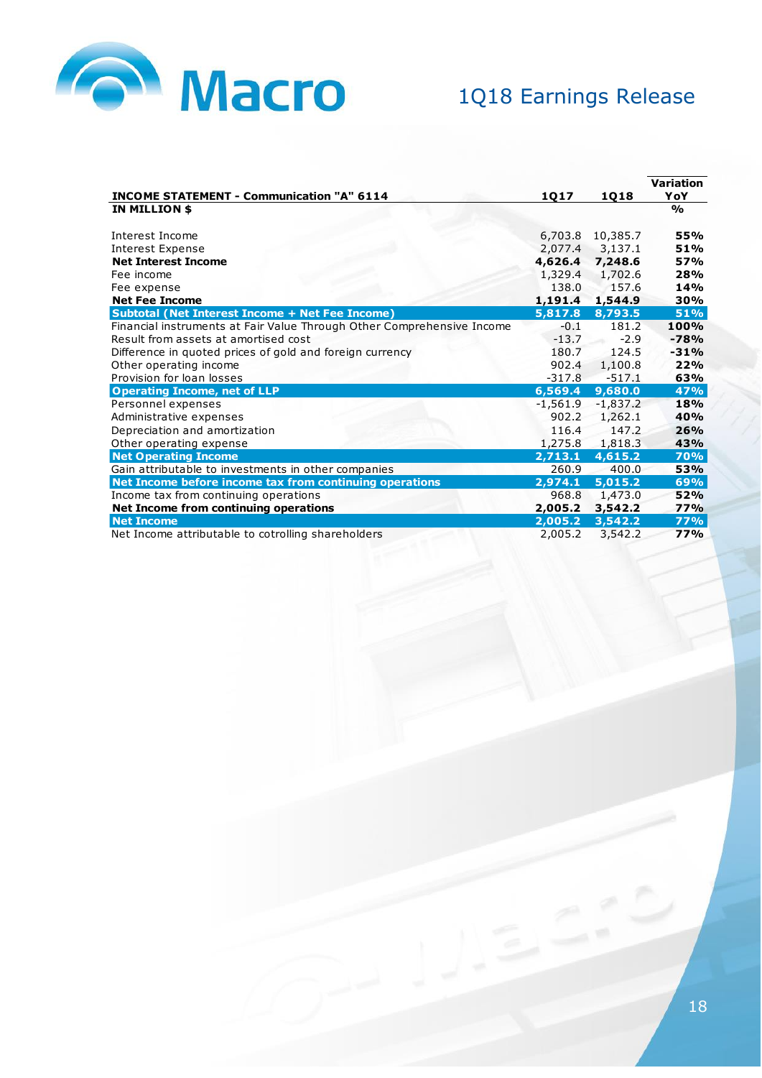

|                                                                        |              |             | <b>Variation</b> |
|------------------------------------------------------------------------|--------------|-------------|------------------|
| <b>INCOME STATEMENT - Communication "A" 6114</b>                       | <u> 1Q17</u> | <u>1Q18</u> | YoY              |
| IN MILLION \$                                                          |              |             | $\frac{0}{0}$    |
|                                                                        |              |             |                  |
| Interest Income                                                        | 6,703.8      | 10,385.7    | 55%              |
| <b>Interest Expense</b>                                                | 2,077.4      | 3,137.1     | 51%              |
| <b>Net Interest Income</b>                                             | 4,626.4      | 7,248.6     | 57%              |
| Fee income                                                             | 1,329.4      | 1,702.6     | 28%              |
| Fee expense                                                            | 138.0        | 157.6       | 14%              |
| <b>Net Fee Income</b>                                                  | 1,191.4      | 1,544.9     | 30%              |
| <b>Subtotal (Net Interest Income + Net Fee Income)</b>                 | 5,817.8      | 8,793.5     | <b>51%</b>       |
| Financial instruments at Fair Value Through Other Comprehensive Income | $-0.1$       | 181.2       | 100%             |
| Result from assets at amortised cost                                   | $-13.7$      | $-2.9$      | $-78%$           |
| Difference in quoted prices of gold and foreign currency               | 180.7        | 124.5       | $-31%$           |
| Other operating income                                                 | 902.4        | 1,100.8     | 22%              |
| Provision for loan losses                                              | $-317.8$     | $-517.1$    | 63%              |
| <b>Operating Income, net of LLP</b>                                    | 6,569.4      | 9,680.0     | 47%              |
| Personnel expenses                                                     | $-1,561.9$   | $-1,837.2$  | 18%              |
| Administrative expenses                                                | 902.2        | 1,262.1     | 40%              |
| Depreciation and amortization                                          | 116.4        | 147.2       | 26%              |
| Other operating expense                                                | 1,275.8      | 1,818.3     | 43%              |
| <b>Net Operating Income</b>                                            | 2,713.1      | 4,615.2     | <b>70%</b>       |
| Gain attributable to investments in other companies                    | 260.9        | 400.0       | 53%              |
| Net Income before income tax from continuing operations                | 2,974.1      | 5,015.2     | 69%              |
| Income tax from continuing operations                                  | 968.8        | 1,473.0     | 52%              |
| Net Income from continuing operations                                  | 2,005.2      | 3,542.2     | 77%              |
| <b>Net Income</b>                                                      | 2,005.2      | 3,542.2     | <b>77%</b>       |
| Net Income attributable to cotrolling shareholders                     | 2,005.2      | 3,542.2     | 77%              |